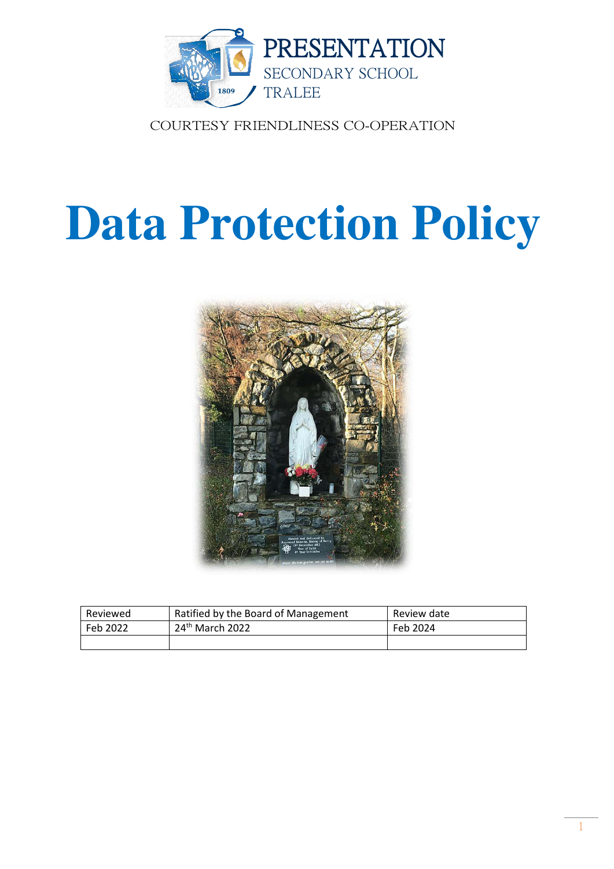

COURTESY FRIENDLINESS CO-OPERATION

# **Data Protection Policy**



| Reviewed | Ratified by the Board of Management | Review date |
|----------|-------------------------------------|-------------|
| Feb 2022 | 24 <sup>th</sup> March 2022         | Feb 2024    |
|          |                                     |             |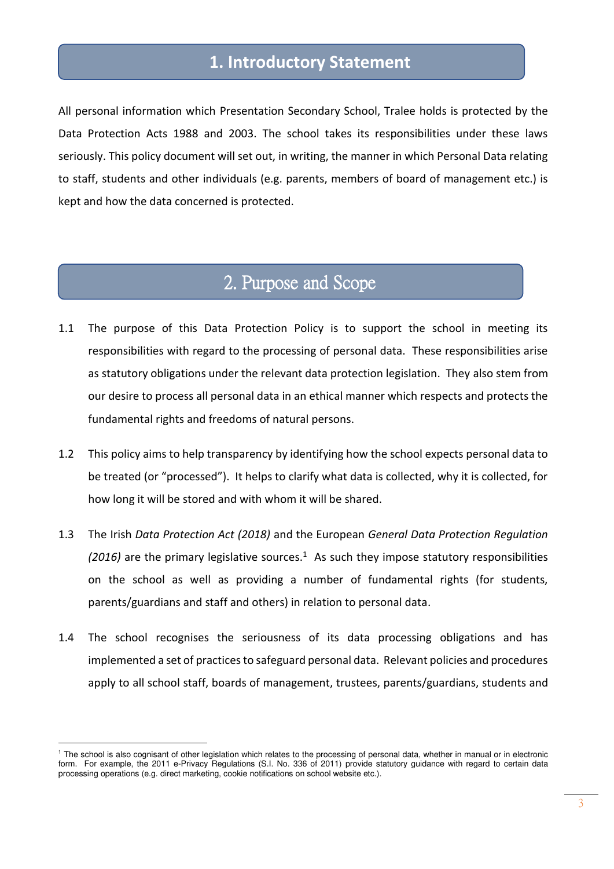### **1. Introductory Statement**

All personal information which Presentation Secondary School, Tralee holds is protected by the Data Protection Acts 1988 and 2003. The school takes its responsibilities under these laws seriously. This policy document will set out, in writing, the manner in which Personal Data relating to staff, students and other individuals (e.g. parents, members of board of management etc.) is kept and how the data concerned is protected.

### 2. Purpose and Scope

- 1.1 The purpose of this Data Protection Policy is to support the school in meeting its responsibilities with regard to the processing of personal data. These responsibilities arise as statutory obligations under the relevant data protection legislation. They also stem from our desire to process all personal data in an ethical manner which respects and protects the fundamental rights and freedoms of natural persons.
- 1.2 This policy aims to help transparency by identifying how the school expects personal data to be treated (or "processed"). It helps to clarify what data is collected, why it is collected, for how long it will be stored and with whom it will be shared.
- 1.3 The Irish *Data Protection Act (2018)* and the European *General Data Protection Regulation*   $(2016)$  are the primary legislative sources.<sup>1</sup> As such they impose statutory responsibilities on the school as well as providing a number of fundamental rights (for students, parents/guardians and staff and others) in relation to personal data.
- 1.4 The school recognises the seriousness of its data processing obligations and has implemented a set of practices to safeguard personal data. Relevant policies and procedures apply to all school staff, boards of management, trustees, parents/guardians, students and

<sup>&</sup>lt;sup>1</sup> The school is also cognisant of other legislation which relates to the processing of personal data, whether in manual or in electronic form. For example, the 2011 e-Privacy Regulations (S.I. No. 336 of 2011) provide statutory guidance with regard to certain data processing operations (e.g. direct marketing, cookie notifications on school website etc.).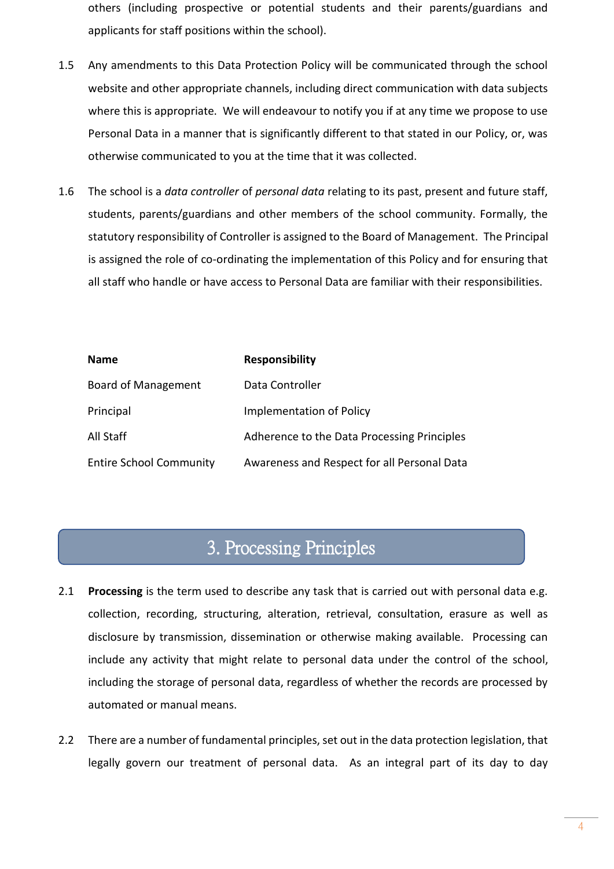others (including prospective or potential students and their parents/guardians and applicants for staff positions within the school).

- 1.5 Any amendments to this Data Protection Policy will be communicated through the school website and other appropriate channels, including direct communication with data subjects where this is appropriate. We will endeavour to notify you if at any time we propose to use Personal Data in a manner that is significantly different to that stated in our Policy, or, was otherwise communicated to you at the time that it was collected.
- 1.6 The school is a *data controller* of *personal data* relating to its past, present and future staff, students, parents/guardians and other members of the school community. Formally, the statutory responsibility of Controller is assigned to the Board of Management. The Principal is assigned the role of co-ordinating the implementation of this Policy and for ensuring that all staff who handle or have access to Personal Data are familiar with their responsibilities.

| <b>Name</b>                    | <b>Responsibility</b>                       |
|--------------------------------|---------------------------------------------|
| Board of Management            | Data Controller                             |
| Principal                      | <b>Implementation of Policy</b>             |
| All Staff                      | Adherence to the Data Processing Principles |
| <b>Entire School Community</b> | Awareness and Respect for all Personal Data |

### 3. Processing Principles

- 2.1 **Processing** is the term used to describe any task that is carried out with personal data e.g. collection, recording, structuring, alteration, retrieval, consultation, erasure as well as disclosure by transmission, dissemination or otherwise making available. Processing can include any activity that might relate to personal data under the control of the school, including the storage of personal data, regardless of whether the records are processed by automated or manual means.
- 2.2 There are a number of fundamental principles, set out in the data protection legislation, that legally govern our treatment of personal data. As an integral part of its day to day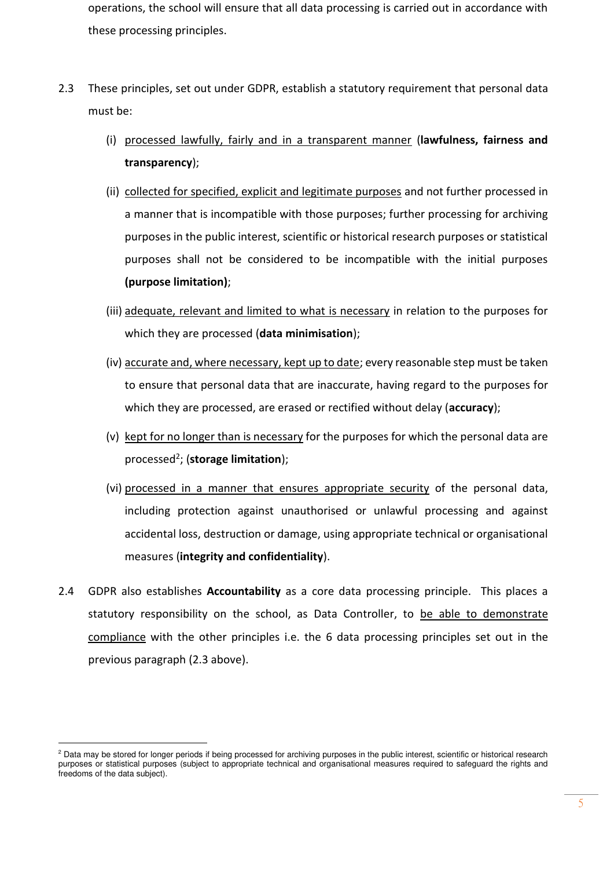operations, the school will ensure that all data processing is carried out in accordance with these processing principles.

- 2.3 These principles, set out under GDPR, establish a statutory requirement that personal data must be:
	- (i) processed lawfully, fairly and in a transparent manner (**lawfulness, fairness and transparency**);
	- (ii) collected for specified, explicit and legitimate purposes and not further processed in a manner that is incompatible with those purposes; further processing for archiving purposes in the public interest, scientific or historical research purposes or statistical purposes shall not be considered to be incompatible with the initial purposes **(purpose limitation)**;
	- (iii) adequate, relevant and limited to what is necessary in relation to the purposes for which they are processed (**data minimisation**);
	- (iv) accurate and, where necessary, kept up to date; every reasonable step must be taken to ensure that personal data that are inaccurate, having regard to the purposes for which they are processed, are erased or rectified without delay (**accuracy**);
	- (v) kept for no longer than is necessary for the purposes for which the personal data are processed<sup>2</sup> ; (**storage limitation**);
	- (vi) processed in a manner that ensures appropriate security of the personal data, including protection against unauthorised or unlawful processing and against accidental loss, destruction or damage, using appropriate technical or organisational measures (**integrity and confidentiality**).
- 2.4 GDPR also establishes **Accountability** as a core data processing principle. This places a statutory responsibility on the school, as Data Controller, to be able to demonstrate compliance with the other principles i.e. the 6 data processing principles set out in the previous paragraph (2.3 above).

<sup>&</sup>lt;sup>2</sup> Data may be stored for longer periods if being processed for archiving purposes in the public interest, scientific or historical research purposes or statistical purposes (subject to appropriate technical and organisational measures required to safeguard the rights and freedoms of the data subject).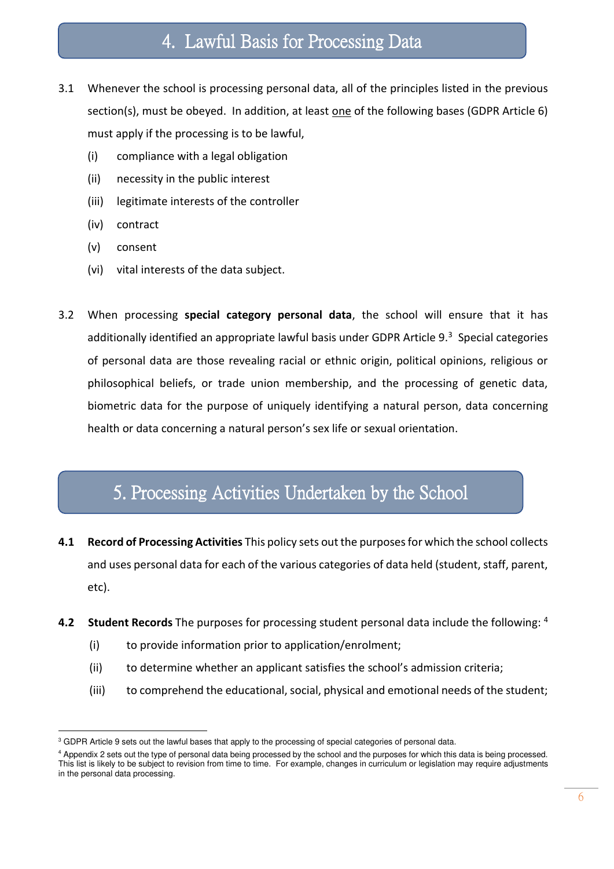### 4. Lawful Basis for Processing Data

- 3.1 Whenever the school is processing personal data, all of the principles listed in the previous section(s), must be obeyed. In addition, at least one of the following bases (GDPR Article 6) must apply if the processing is to be lawful,
	- (i) compliance with a legal obligation
	- (ii) necessity in the public interest
	- (iii) legitimate interests of the controller
	- (iv) contract
	- (v) consent
	- (vi) vital interests of the data subject.
- 3.2 When processing **special category personal data**, the school will ensure that it has additionally identified an appropriate lawful basis under GDPR Article 9.<sup>3</sup> Special categories of personal data are those revealing racial or ethnic origin, political opinions, religious or philosophical beliefs, or trade union membership, and the processing of genetic data, biometric data for the purpose of uniquely identifying a natural person, data concerning health or data concerning a natural person's sex life or sexual orientation.

### 5. Processing Activities Undertaken by the School

- **4.1 Record of Processing Activities** This policy sets out the purposes for which the school collects and uses personal data for each of the various categories of data held (student, staff, parent, etc).
- **4.2 Student Records** The purposes for processing student personal data include the following: <sup>4</sup>
	- (i) to provide information prior to application/enrolment;
	- (ii) to determine whether an applicant satisfies the school's admission criteria;
	- (iii) to comprehend the educational, social, physical and emotional needs of the student;

<sup>&</sup>lt;sup>3</sup> GDPR Article 9 sets out the lawful bases that apply to the processing of special categories of personal data.

<sup>4</sup> Appendix 2 sets out the type of personal data being processed by the school and the purposes for which this data is being processed. This list is likely to be subject to revision from time to time. For example, changes in curriculum or legislation may require adjustments in the personal data processing.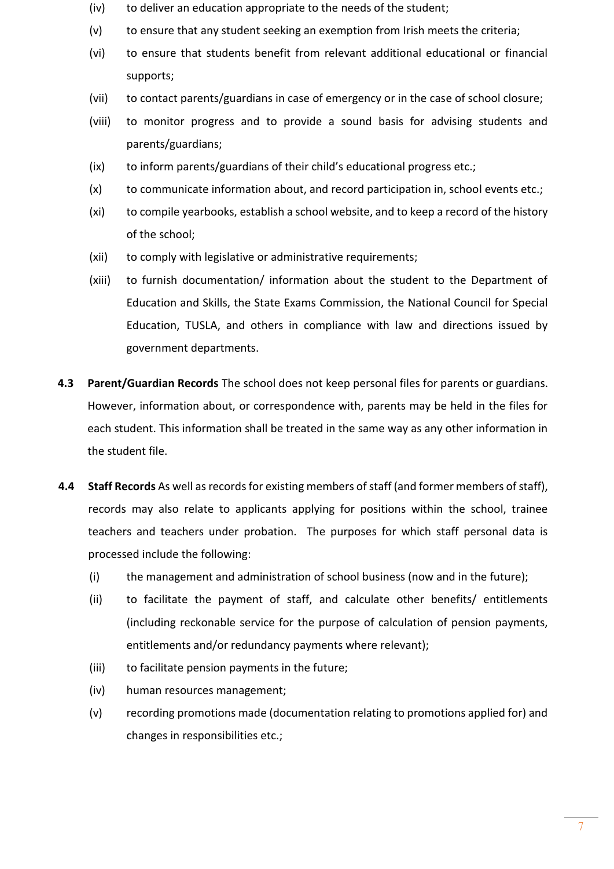- (iv) to deliver an education appropriate to the needs of the student;
- (v) to ensure that any student seeking an exemption from Irish meets the criteria;
- (vi) to ensure that students benefit from relevant additional educational or financial supports;
- (vii) to contact parents/guardians in case of emergency or in the case of school closure;
- (viii) to monitor progress and to provide a sound basis for advising students and parents/guardians;
- (ix) to inform parents/guardians of their child's educational progress etc.;
- (x) to communicate information about, and record participation in, school events etc.;
- (xi) to compile yearbooks, establish a school website, and to keep a record of the history of the school;
- (xii) to comply with legislative or administrative requirements;
- (xiii) to furnish documentation/ information about the student to the Department of Education and Skills, the State Exams Commission, the National Council for Special Education, TUSLA, and others in compliance with law and directions issued by government departments.
- **4.3 Parent/Guardian Records** The school does not keep personal files for parents or guardians. However, information about, or correspondence with, parents may be held in the files for each student. This information shall be treated in the same way as any other information in the student file.
- **4.4 Staff Records** As well as records for existing members of staff (and former members of staff), records may also relate to applicants applying for positions within the school, trainee teachers and teachers under probation. The purposes for which staff personal data is processed include the following:
	- (i) the management and administration of school business (now and in the future);
	- (ii) to facilitate the payment of staff, and calculate other benefits/ entitlements (including reckonable service for the purpose of calculation of pension payments, entitlements and/or redundancy payments where relevant);
	- (iii) to facilitate pension payments in the future;
	- (iv) human resources management;
	- (v) recording promotions made (documentation relating to promotions applied for) and changes in responsibilities etc.;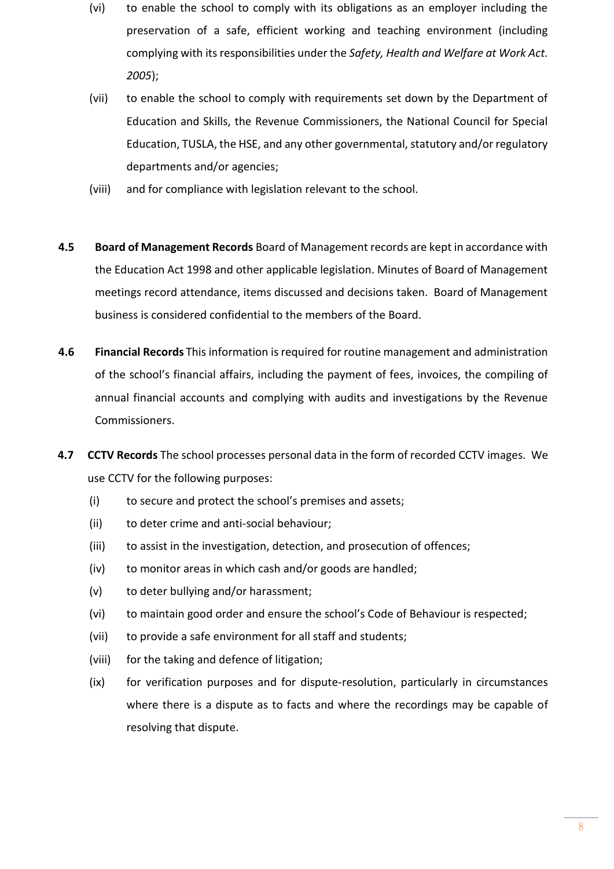- (vi) to enable the school to comply with its obligations as an employer including the preservation of a safe, efficient working and teaching environment (including complying with its responsibilities under the *Safety, Health and Welfare at Work Act. 2005*);
- (vii) to enable the school to comply with requirements set down by the Department of Education and Skills, the Revenue Commissioners, the National Council for Special Education, TUSLA, the HSE, and any other governmental, statutory and/or regulatory departments and/or agencies;
- (viii) and for compliance with legislation relevant to the school.
- **4.5 Board of Management Records** Board of Management records are kept in accordance with the Education Act 1998 and other applicable legislation. Minutes of Board of Management meetings record attendance, items discussed and decisions taken. Board of Management business is considered confidential to the members of the Board.
- **4.6 Financial Records** This information is required for routine management and administration of the school's financial affairs, including the payment of fees, invoices, the compiling of annual financial accounts and complying with audits and investigations by the Revenue Commissioners.
- **4.7 CCTV Records** The school processes personal data in the form of recorded CCTV images. We use CCTV for the following purposes:
	- (i) to secure and protect the school's premises and assets;
	- (ii) to deter crime and anti-social behaviour;
	- (iii) to assist in the investigation, detection, and prosecution of offences;
	- (iv) to monitor areas in which cash and/or goods are handled;
	- (v) to deter bullying and/or harassment;
	- (vi) to maintain good order and ensure the school's Code of Behaviour is respected;
	- (vii) to provide a safe environment for all staff and students;
	- (viii) for the taking and defence of litigation;
	- (ix) for verification purposes and for dispute-resolution, particularly in circumstances where there is a dispute as to facts and where the recordings may be capable of resolving that dispute.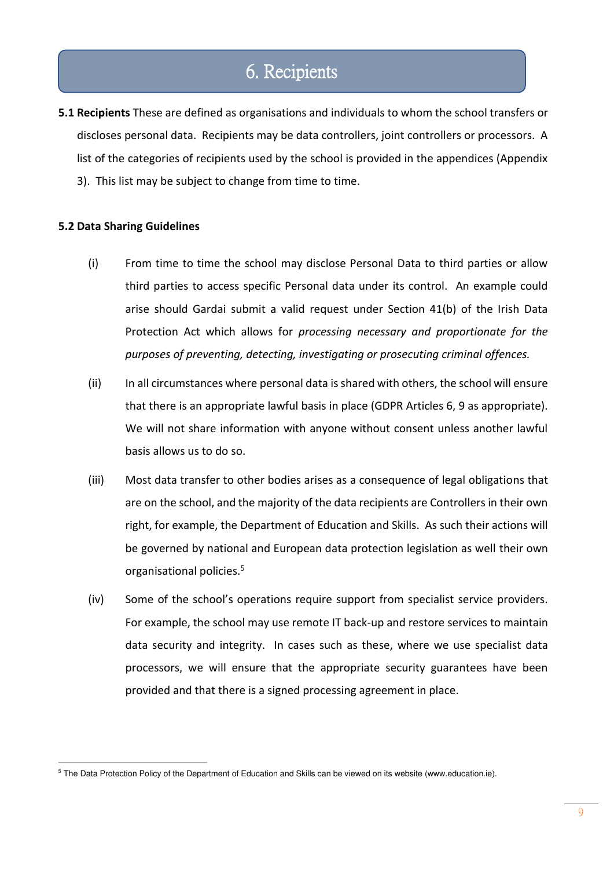### 6. Recipients

**5.1 Recipients** These are defined as organisations and individuals to whom the school transfers or discloses personal data. Recipients may be data controllers, joint controllers or processors. A list of the categories of recipients used by the school is provided in the appendices (Appendix 3). This list may be subject to change from time to time.

### **5.2 Data Sharing Guidelines**

- (i) From time to time the school may disclose Personal Data to third parties or allow third parties to access specific Personal data under its control. An example could arise should Gardai submit a valid request under Section 41(b) of the Irish Data Protection Act which allows for *processing necessary and proportionate for the purposes of preventing, detecting, investigating or prosecuting criminal offences.*
- (ii) In all circumstances where personal data is shared with others, the school will ensure that there is an appropriate lawful basis in place (GDPR Articles 6, 9 as appropriate). We will not share information with anyone without consent unless another lawful basis allows us to do so.
- (iii) Most data transfer to other bodies arises as a consequence of legal obligations that are on the school, and the majority of the data recipients are Controllers in their own right, for example, the Department of Education and Skills. As such their actions will be governed by national and European data protection legislation as well their own organisational policies.<sup>5</sup>
- (iv) Some of the school's operations require support from specialist service providers. For example, the school may use remote IT back-up and restore services to maintain data security and integrity. In cases such as these, where we use specialist data processors, we will ensure that the appropriate security guarantees have been provided and that there is a signed processing agreement in place.

<sup>&</sup>lt;sup>5</sup> The Data Protection Policy of the Department of Education and Skills can be viewed on its website (www.education.ie).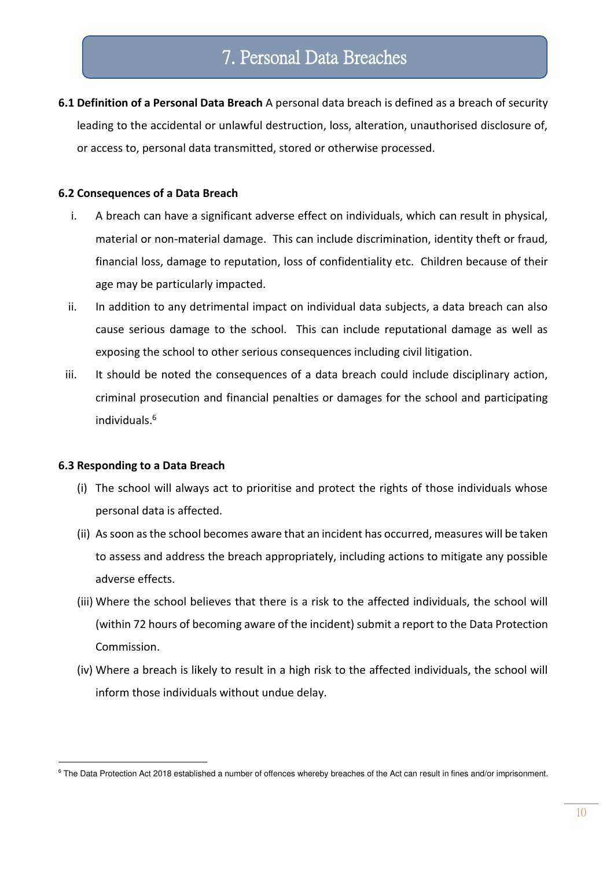**6.1 Definition of a Personal Data Breach** A personal data breach is defined as a breach of security leading to the accidental or unlawful destruction, loss, alteration, unauthorised disclosure of, or access to, personal data transmitted, stored or otherwise processed.

### **6.2 Consequences of a Data Breach**

- i. A breach can have a significant adverse effect on individuals, which can result in physical, material or non-material damage. This can include discrimination, identity theft or fraud, financial loss, damage to reputation, loss of confidentiality etc. Children because of their age may be particularly impacted.
- ii. In addition to any detrimental impact on individual data subjects, a data breach can also cause serious damage to the school. This can include reputational damage as well as exposing the school to other serious consequences including civil litigation.
- iii. It should be noted the consequences of a data breach could include disciplinary action, criminal prosecution and financial penalties or damages for the school and participating individuals.<sup>6</sup>

#### **6.3 Responding to a Data Breach**

- (i) The school will always act to prioritise and protect the rights of those individuals whose personal data is affected.
- (ii) As soon as the school becomes aware that an incident has occurred, measures will be taken to assess and address the breach appropriately, including actions to mitigate any possible adverse effects.
- (iii) Where the school believes that there is a risk to the affected individuals, the school will (within 72 hours of becoming aware of the incident) submit a report to the Data Protection Commission.
- (iv) Where a breach is likely to result in a high risk to the affected individuals, the school will inform those individuals without undue delay.

<sup>&</sup>lt;sup>6</sup> The Data Protection Act 2018 established a number of offences whereby breaches of the Act can result in fines and/or imprisonment.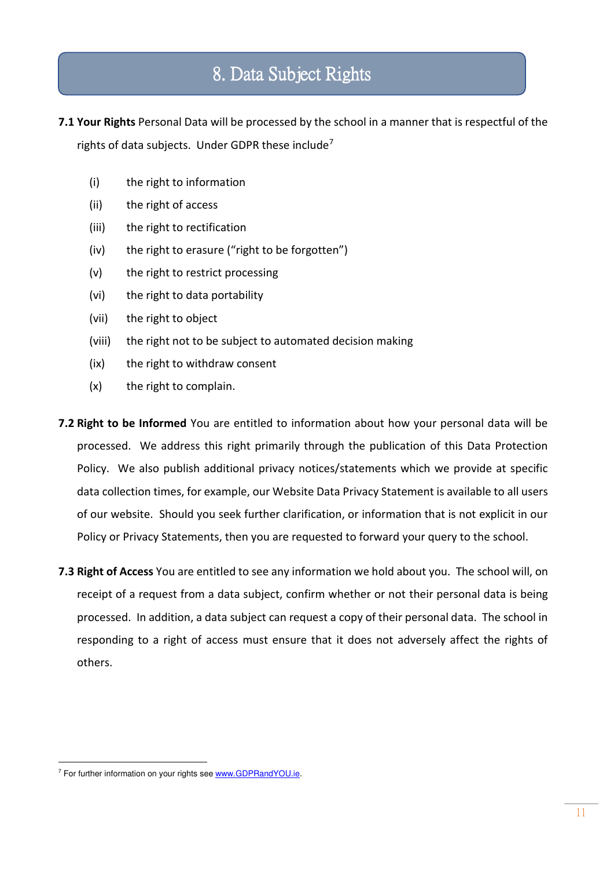## 8. Data Subject Rights

**7.1 Your Rights** Personal Data will be processed by the school in a manner that is respectful of the rights of data subjects. Under GDPR these include<sup>7</sup>

- (i) the right to information
- (ii) the right of access
- (iii) the right to rectification
- (iv) the right to erasure ("right to be forgotten")
- (v) the right to restrict processing
- (vi) the right to data portability
- (vii) the right to object
- (viii) the right not to be subject to automated decision making
- (ix) the right to withdraw consent
- (x) the right to complain.
- **7.2 Right to be Informed** You are entitled to information about how your personal data will be processed. We address this right primarily through the publication of this Data Protection Policy. We also publish additional privacy notices/statements which we provide at specific data collection times, for example, our Website Data Privacy Statement is available to all users of our website. Should you seek further clarification, or information that is not explicit in our Policy or Privacy Statements, then you are requested to forward your query to the school.
- **7.3 Right of Access** You are entitled to see any information we hold about you. The school will, on receipt of a request from a data subject, confirm whether or not their personal data is being processed. In addition, a data subject can request a copy of their personal data. The school in responding to a right of access must ensure that it does not adversely affect the rights of others.

<sup>&</sup>lt;sup>7</sup> For further information on your rights see www.GDPRandYOU.ie.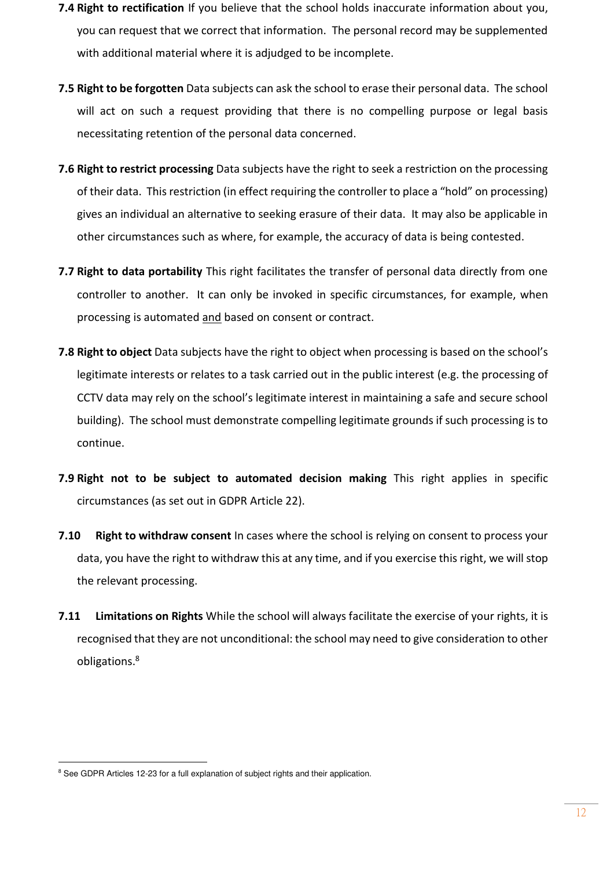- **7.4 Right to rectification** If you believe that the school holds inaccurate information about you, you can request that we correct that information. The personal record may be supplemented with additional material where it is adjudged to be incomplete.
- **7.5 Right to be forgotten** Data subjects can ask the school to erase their personal data. The school will act on such a request providing that there is no compelling purpose or legal basis necessitating retention of the personal data concerned.
- **7.6 Right to restrict processing** Data subjects have the right to seek a restriction on the processing of their data. This restriction (in effect requiring the controller to place a "hold" on processing) gives an individual an alternative to seeking erasure of their data. It may also be applicable in other circumstances such as where, for example, the accuracy of data is being contested.
- **7.7 Right to data portability** This right facilitates the transfer of personal data directly from one controller to another. It can only be invoked in specific circumstances, for example, when processing is automated and based on consent or contract.
- **7.8 Right to object** Data subjects have the right to object when processing is based on the school's legitimate interests or relates to a task carried out in the public interest (e.g. the processing of CCTV data may rely on the school's legitimate interest in maintaining a safe and secure school building). The school must demonstrate compelling legitimate grounds if such processing is to continue.
- **7.9 Right not to be subject to automated decision making** This right applies in specific circumstances (as set out in GDPR Article 22).
- **7.10 Right to withdraw consent** In cases where the school is relying on consent to process your data, you have the right to withdraw this at any time, and if you exercise this right, we will stop the relevant processing.
- **7.11 Limitations on Rights** While the school will always facilitate the exercise of your rights, it is recognised that they are not unconditional: the school may need to give consideration to other obligations.<sup>8</sup>

<sup>&</sup>lt;sup>8</sup> See GDPR Articles 12-23 for a full explanation of subject rights and their application.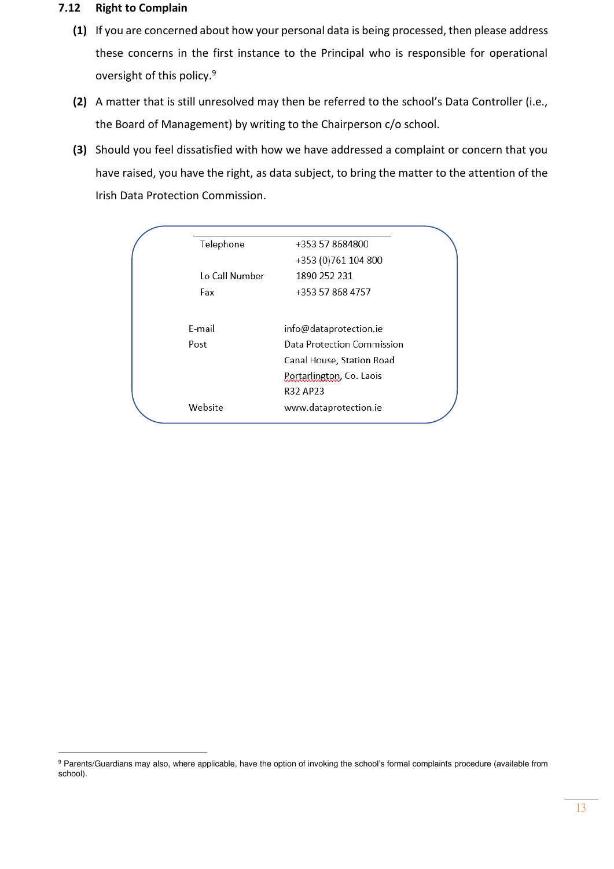#### **7.12 Right to Complain**

- **(1)** If you are concerned about how your personal data is being processed, then please address these concerns in the first instance to the Principal who is responsible for operational oversight of this policy.<sup>9</sup>
- **(2)** A matter that is still unresolved may then be referred to the school's Data Controller (i.e., the Board of Management) by writing to the Chairperson c/o school.
- **(3)** Should you feel dissatisfied with how we have addressed a complaint or concern that you have raised, you have the right, as data subject, to bring the matter to the attention of the Irish Data Protection Commission.

| Telephone      | +353 57 8684800            |
|----------------|----------------------------|
|                | +353 (0) 761 104 800       |
| Lo Call Number | 1890 252 231               |
| Fax            | +353 57 868 4757           |
|                |                            |
| F-mail         | info@dataprotection.ie     |
| Post           | Data Protection Commission |
|                | Canal House, Station Road  |
|                | Portarlington, Co. Laois   |
|                | R32 AP23                   |
| Website        | www.dataprotection.ie      |

<sup>&</sup>lt;sup>9</sup> Parents/Guardians may also, where applicable, have the option of invoking the school's formal complaints procedure (available from school).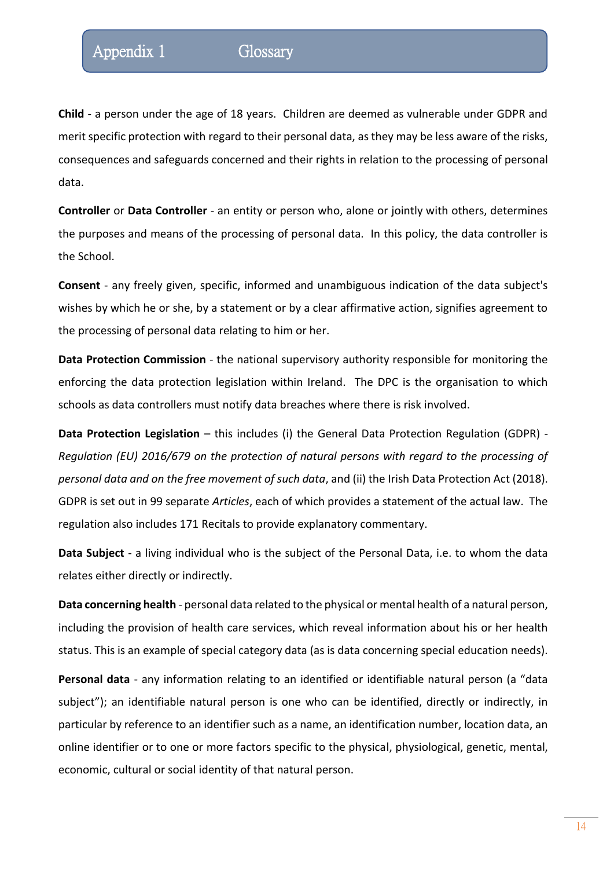**Child** - a person under the age of 18 years. Children are deemed as vulnerable under GDPR and merit specific protection with regard to their personal data, as they may be less aware of the risks, consequences and safeguards concerned and their rights in relation to the processing of personal data.

**Controller** or **Data Controller** - an entity or person who, alone or jointly with others, determines the purposes and means of the processing of personal data. In this policy, the data controller is the School.

**Consent** - any freely given, specific, informed and unambiguous indication of the data subject's wishes by which he or she, by a statement or by a clear affirmative action, signifies agreement to the processing of personal data relating to him or her.

**Data Protection Commission** - the national supervisory authority responsible for monitoring the enforcing the data protection legislation within Ireland. The DPC is the organisation to which schools as data controllers must notify data breaches where there is risk involved.

**Data Protection Legislation** – this includes (i) the General Data Protection Regulation (GDPR) - *Regulation (EU) 2016/679 on the protection of natural persons with regard to the processing of personal data and on the free movement of such data*, and (ii) the Irish Data Protection Act (2018). GDPR is set out in 99 separate *Articles*, each of which provides a statement of the actual law. The regulation also includes 171 Recitals to provide explanatory commentary.

**Data Subject** - a living individual who is the subject of the Personal Data, i.e. to whom the data relates either directly or indirectly.

**Data concerning health** - personal data related to the physical or mental health of a natural person, including the provision of health care services, which reveal information about his or her health status. This is an example of special category data (as is data concerning special education needs).

**Personal data** - any information relating to an identified or identifiable natural person (a "data subject"); an identifiable natural person is one who can be identified, directly or indirectly, in particular by reference to an identifier such as a name, an identification number, location data, an online identifier or to one or more factors specific to the physical, physiological, genetic, mental, economic, cultural or social identity of that natural person.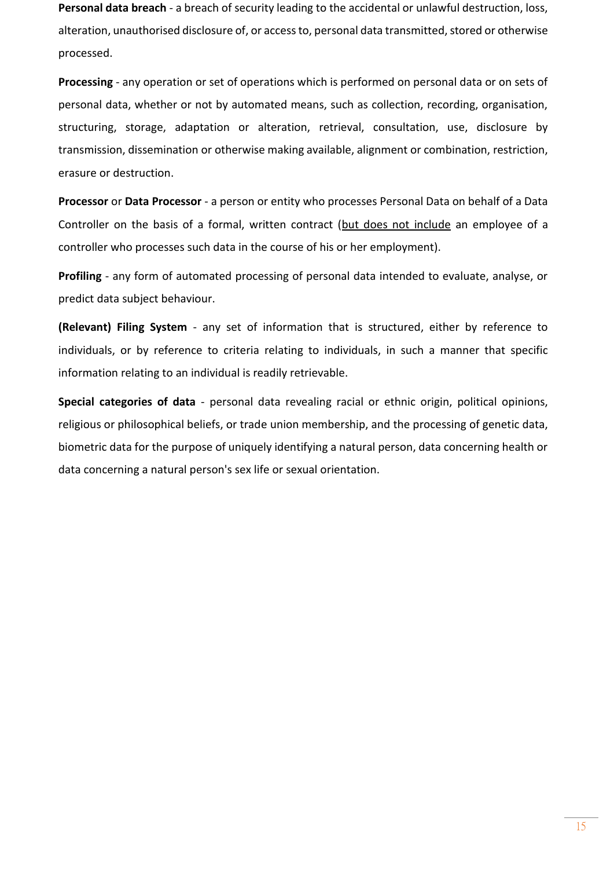**Personal data breach** - a breach of security leading to the accidental or unlawful destruction, loss, alteration, unauthorised disclosure of, or access to, personal data transmitted, stored or otherwise processed.

**Processing** - any operation or set of operations which is performed on personal data or on sets of personal data, whether or not by automated means, such as collection, recording, organisation, structuring, storage, adaptation or alteration, retrieval, consultation, use, disclosure by transmission, dissemination or otherwise making available, alignment or combination, restriction, erasure or destruction.

**Processor** or **Data Processor** - a person or entity who processes Personal Data on behalf of a Data Controller on the basis of a formal, written contract (but does not include an employee of a controller who processes such data in the course of his or her employment).

**Profiling** - any form of automated processing of personal data intended to evaluate, analyse, or predict data subject behaviour.

**(Relevant) Filing System** - any set of information that is structured, either by reference to individuals, or by reference to criteria relating to individuals, in such a manner that specific information relating to an individual is readily retrievable.

**Special categories of data** - personal data revealing racial or ethnic origin, political opinions, religious or philosophical beliefs, or trade union membership, and the processing of genetic data, biometric data for the purpose of uniquely identifying a natural person, data concerning health or data concerning a natural person's sex life or sexual orientation.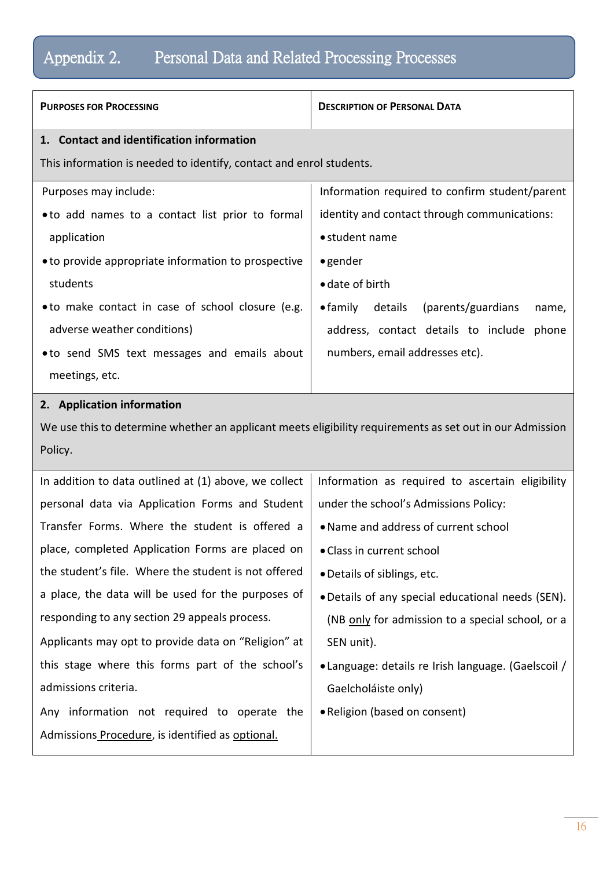# Appendix 2. Personal Data and Related Processing Processes

| <b>PURPOSES FOR PROCESSING</b>                                      | <b>DESCRIPTION OF PERSONAL DATA</b>                         |
|---------------------------------------------------------------------|-------------------------------------------------------------|
| 1. Contact and identification information                           |                                                             |
| This information is needed to identify, contact and enrol students. |                                                             |
| Purposes may include:                                               | Information required to confirm student/parent              |
| • to add names to a contact list prior to formal                    | identity and contact through communications:                |
| application                                                         | • student name                                              |
| • to provide appropriate information to prospective                 | $\bullet$ gender                                            |
| students                                                            | • date of birth                                             |
| • to make contact in case of school closure (e.g.                   | details<br>(parents/guardians)<br>$\bullet$ family<br>name, |
| adverse weather conditions)                                         | address, contact details to include phone                   |
| • to send SMS text messages and emails about                        | numbers, email addresses etc).                              |
| meetings, etc.                                                      |                                                             |

### **2. Application information**

We use this to determine whether an applicant meets eligibility requirements as set out in our Admission Policy.

| In addition to data outlined at (1) above, we collect | Information as required to ascertain eligibility    |
|-------------------------------------------------------|-----------------------------------------------------|
| personal data via Application Forms and Student       | under the school's Admissions Policy:               |
| Transfer Forms. Where the student is offered a        | • Name and address of current school                |
| place, completed Application Forms are placed on      | • Class in current school                           |
| the student's file. Where the student is not offered  | • Details of siblings, etc.                         |
| a place, the data will be used for the purposes of    | • Details of any special educational needs (SEN).   |
| responding to any section 29 appeals process.         | (NB only for admission to a special school, or a    |
| Applicants may opt to provide data on "Religion" at   | SEN unit).                                          |
| this stage where this forms part of the school's      | • Language: details re Irish language. (Gaelscoil / |
| admissions criteria.                                  | Gaelcholáiste only)                                 |
| Any information not required to operate the           | • Religion (based on consent)                       |
| Admissions Procedure, is identified as optional.      |                                                     |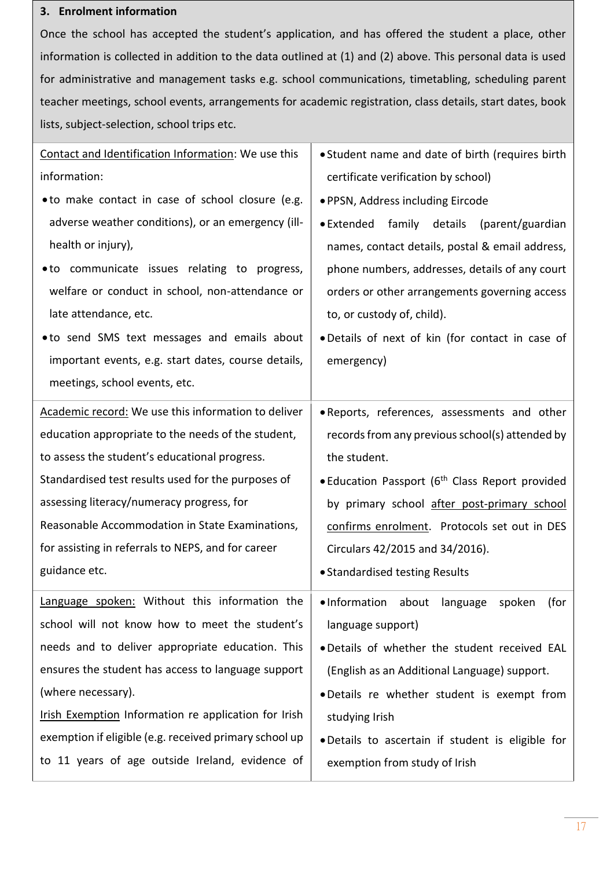### **3. Enrolment information**

Once the school has accepted the student's application, and has offered the student a place, other information is collected in addition to the data outlined at (1) and (2) above. This personal data is used for administrative and management tasks e.g. school communications, timetabling, scheduling parent teacher meetings, school events, arrangements for academic registration, class details, start dates, book lists, subject-selection, school trips etc.

| Contact and Identification Information: We use this    | • Student name and date of birth (requires birth            |
|--------------------------------------------------------|-------------------------------------------------------------|
| information:                                           | certificate verification by school)                         |
| • to make contact in case of school closure (e.g.      | · PPSN, Address including Eircode                           |
| adverse weather conditions), or an emergency (ill-     | • Extended family details<br>(parent/guardian               |
| health or injury),                                     | names, contact details, postal & email address,             |
| • to communicate issues relating to progress,          | phone numbers, addresses, details of any court              |
| welfare or conduct in school, non-attendance or        | orders or other arrangements governing access               |
| late attendance, etc.                                  | to, or custody of, child).                                  |
| .to send SMS text messages and emails about            | . Details of next of kin (for contact in case of            |
| important events, e.g. start dates, course details,    | emergency)                                                  |
| meetings, school events, etc.                          |                                                             |
| Academic record: We use this information to deliver    | . Reports, references, assessments and other                |
| education appropriate to the needs of the student,     | records from any previous school(s) attended by             |
| to assess the student's educational progress.          | the student.                                                |
| Standardised test results used for the purposes of     | • Education Passport (6 <sup>th</sup> Class Report provided |
| assessing literacy/numeracy progress, for              | by primary school after post-primary school                 |
| Reasonable Accommodation in State Examinations,        | confirms enrolment. Protocols set out in DES                |
| for assisting in referrals to NEPS, and for career     | Circulars 42/2015 and 34/2016).                             |
| guidance etc.                                          | • Standardised testing Results                              |
| Language spoken: Without this information the          | .Information about language<br>(for<br>spoken               |
| school will not know how to meet the student's         | language support)                                           |
| needs and to deliver appropriate education. This       | . Details of whether the student received EAL               |
| ensures the student has access to language support     | (English as an Additional Language) support.                |
| (where necessary).                                     | .Details re whether student is exempt from                  |
| Irish Exemption Information re application for Irish   | studying Irish                                              |
| exemption if eligible (e.g. received primary school up | . Details to ascertain if student is eligible for           |
| to 11 years of age outside Ireland, evidence of        | exemption from study of Irish                               |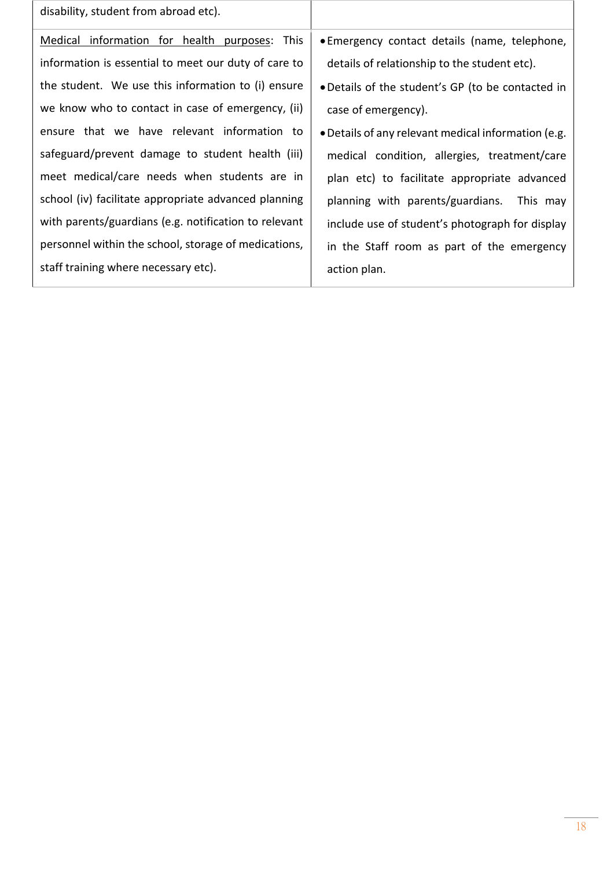| disability, student from abroad etc).                 |                                                     |
|-------------------------------------------------------|-----------------------------------------------------|
| Medical information for health purposes: This         | • Emergency contact details (name, telephone,       |
| information is essential to meet our duty of care to  | details of relationship to the student etc).        |
| the student. We use this information to (i) ensure    | . Details of the student's GP (to be contacted in   |
| we know who to contact in case of emergency, (ii)     | case of emergency).                                 |
| ensure that we have relevant information to           | • Details of any relevant medical information (e.g. |
| safeguard/prevent damage to student health (iii)      | medical condition, allergies, treatment/care        |
| meet medical/care needs when students are in          | plan etc) to facilitate appropriate advanced        |
| school (iv) facilitate appropriate advanced planning  | planning with parents/guardians. This may           |
| with parents/guardians (e.g. notification to relevant | include use of student's photograph for display     |
| personnel within the school, storage of medications,  | in the Staff room as part of the emergency          |
| staff training where necessary etc).                  | action plan.                                        |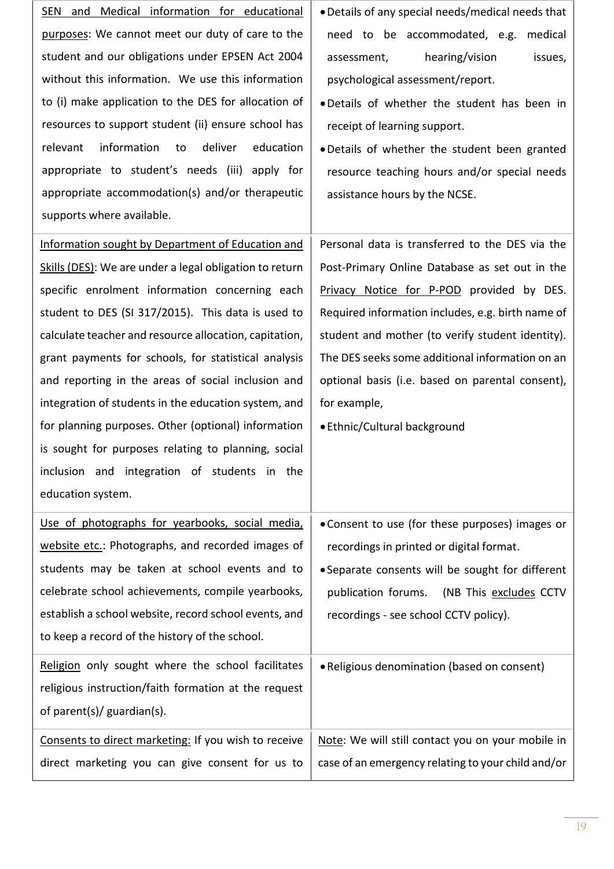| and Medical information for educational<br><b>SEN</b>   | . Details of any special needs/medical needs that |
|---------------------------------------------------------|---------------------------------------------------|
| purposes: We cannot meet our duty of care to the        | need to be accommodated, e.g.<br>medical          |
| student and our obligations under EPSEN Act 2004        | hearing/vision<br>issues,<br>assessment,          |
| without this information. We use this information       | psychological assessment/report.                  |
| to (i) make application to the DES for allocation of    | . Details of whether the student has been in      |
| resources to support student (ii) ensure school has     | receipt of learning support.                      |
| information<br>deliver<br>education<br>relevant<br>to   | . Details of whether the student been granted     |
| appropriate to student's needs (iii) apply for          | resource teaching hours and/or special needs      |
| appropriate accommodation(s) and/or therapeutic         | assistance hours by the NCSE.                     |
| supports where available.                               |                                                   |
| Information sought by Department of Education and       | Personal data is transferred to the DES via the   |
| Skills (DES): We are under a legal obligation to return | Post-Primary Online Database as set out in the    |
| specific enrolment information concerning each          | Privacy Notice for P-POD provided by DES.         |
| student to DES (SI 317/2015). This data is used to      | Required information includes, e.g. birth name of |
| calculate teacher and resource allocation, capitation,  | student and mother (to verify student identity).  |
| grant payments for schools, for statistical analysis    | The DES seeks some additional information on an   |
| and reporting in the areas of social inclusion and      | optional basis (i.e. based on parental consent),  |
|                                                         |                                                   |
| integration of students in the education system, and    | for example,                                      |
| for planning purposes. Other (optional) information     | • Ethnic/Cultural background                      |
| is sought for purposes relating to planning, social     |                                                   |
| inclusion and integration of students in the            |                                                   |
| education system.                                       |                                                   |
| Use of photographs for yearbooks, social media,         | • Consent to use (for these purposes) images or   |
| website etc.: Photographs, and recorded images of       | recordings in printed or digital format.          |
| students may be taken at school events and to           | • Separate consents will be sought for different  |
| celebrate school achievements, compile yearbooks,       | publication forums.<br>(NB This excludes CCTV     |
| establish a school website, record school events, and   | recordings - see school CCTV policy).             |
| to keep a record of the history of the school.          |                                                   |
| Religion only sought where the school facilitates       | . Religious denomination (based on consent)       |
| religious instruction/faith formation at the request    |                                                   |
| of parent(s)/ guardian(s).                              |                                                   |
| Consents to direct marketing: If you wish to receive    | Note: We will still contact you on your mobile in |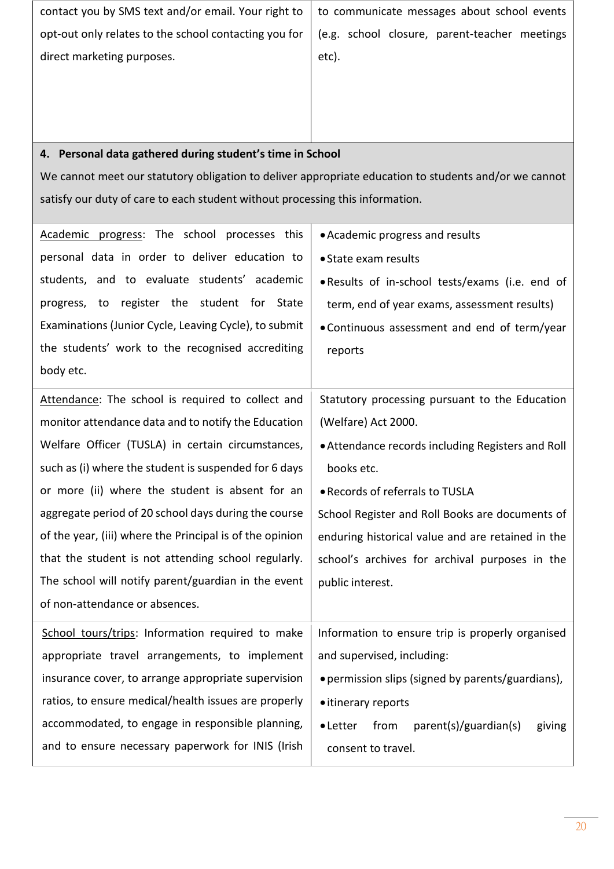| contact you by SMS text and/or email. Your right to                                                   | to communicate messages about school events |
|-------------------------------------------------------------------------------------------------------|---------------------------------------------|
| opt-out only relates to the school contacting you for   (e.g. school closure, parent-teacher meetings |                                             |
| direct marketing purposes.                                                                            | etc).                                       |
|                                                                                                       |                                             |
|                                                                                                       |                                             |

### **4. Personal data gathered during student's time in School**

We cannot meet our statutory obligation to deliver appropriate education to students and/or we cannot satisfy our duty of care to each student without processing this information.

| Academic progress: The school processes this             | • Academic progress and results                             |
|----------------------------------------------------------|-------------------------------------------------------------|
| personal data in order to deliver education to           | • State exam results                                        |
| students, and to evaluate students' academic             | . Results of in-school tests/exams (i.e. end of             |
| progress, to register the student for State              | term, end of year exams, assessment results)                |
| Examinations (Junior Cycle, Leaving Cycle), to submit    | . Continuous assessment and end of term/year                |
| the students' work to the recognised accrediting         | reports                                                     |
| body etc.                                                |                                                             |
| Attendance: The school is required to collect and        | Statutory processing pursuant to the Education              |
| monitor attendance data and to notify the Education      | (Welfare) Act 2000.                                         |
| Welfare Officer (TUSLA) in certain circumstances,        | . Attendance records including Registers and Roll           |
| such as (i) where the student is suspended for 6 days    | books etc.                                                  |
| or more (ii) where the student is absent for an          | • Records of referrals to TUSLA                             |
| aggregate period of 20 school days during the course     | School Register and Roll Books are documents of             |
| of the year, (iii) where the Principal is of the opinion | enduring historical value and are retained in the           |
| that the student is not attending school regularly.      | school's archives for archival purposes in the              |
| The school will notify parent/guardian in the event      | public interest.                                            |
| of non-attendance or absences.                           |                                                             |
| School tours/trips: Information required to make         | Information to ensure trip is properly organised            |
| appropriate travel arrangements, to implement            | and supervised, including:                                  |
| insurance cover, to arrange appropriate supervision      | • permission slips (signed by parents/guardians),           |
| ratios, to ensure medical/health issues are properly     | • itinerary reports                                         |
| accommodated, to engage in responsible planning,         | parent(s)/guardian(s)<br>from<br>$\bullet$ Letter<br>giving |
| and to ensure necessary paperwork for INIS (Irish        | consent to travel.                                          |
|                                                          |                                                             |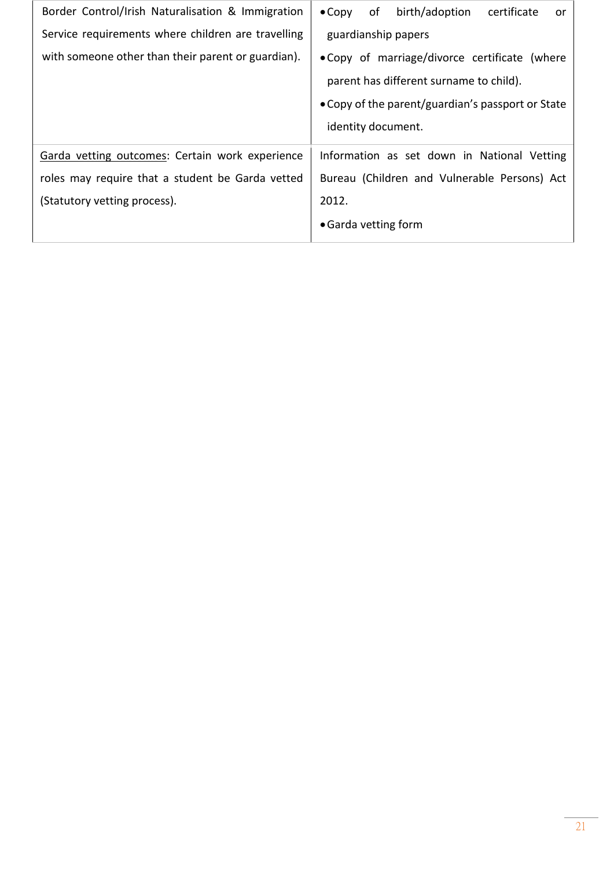| Border Control/Irish Naturalisation & Immigration  | birth/adoption<br>of<br>certificate<br>$\bullet$ Copy<br>or |
|----------------------------------------------------|-------------------------------------------------------------|
| Service requirements where children are travelling | guardianship papers                                         |
| with someone other than their parent or guardian). | . Copy of marriage/divorce certificate (where               |
|                                                    | parent has different surname to child).                     |
|                                                    | • Copy of the parent/guardian's passport or State           |
|                                                    | identity document.                                          |
| Garda vetting outcomes: Certain work experience    | Information as set down in National Vetting                 |
| roles may require that a student be Garda vetted   | Bureau (Children and Vulnerable Persons) Act                |
| (Statutory vetting process).                       | 2012.                                                       |
|                                                    | • Garda vetting form                                        |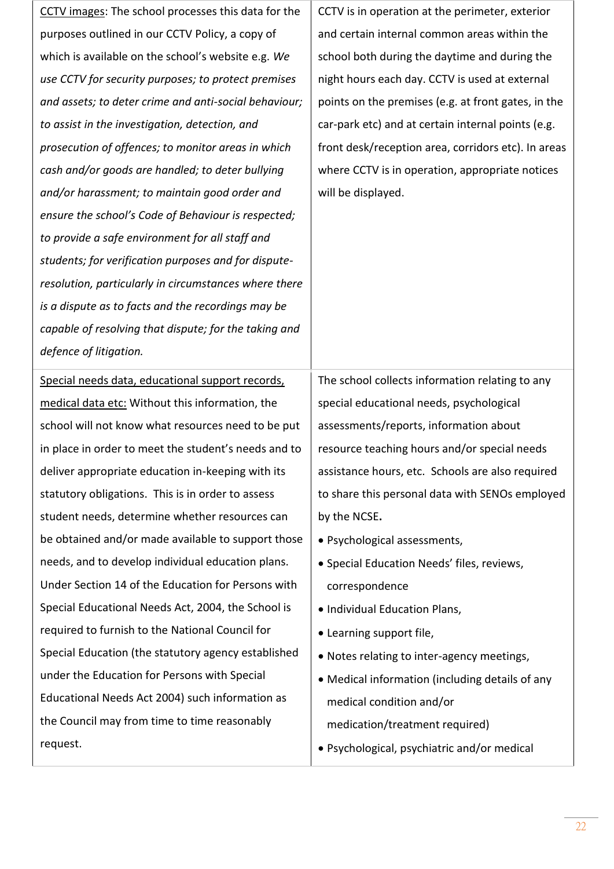| CCTV images: The school processes this data for the   | CCTV is in operation at the perimeter, exterior     |
|-------------------------------------------------------|-----------------------------------------------------|
| purposes outlined in our CCTV Policy, a copy of       | and certain internal common areas within the        |
| which is available on the school's website e.g. We    | school both during the daytime and during the       |
| use CCTV for security purposes; to protect premises   | night hours each day. CCTV is used at external      |
| and assets; to deter crime and anti-social behaviour; | points on the premises (e.g. at front gates, in the |
| to assist in the investigation, detection, and        | car-park etc) and at certain internal points (e.g.  |
| prosecution of offences; to monitor areas in which    | front desk/reception area, corridors etc). In areas |
| cash and/or goods are handled; to deter bullying      | where CCTV is in operation, appropriate notices     |
| and/or harassment; to maintain good order and         | will be displayed.                                  |
| ensure the school's Code of Behaviour is respected;   |                                                     |
| to provide a safe environment for all staff and       |                                                     |
| students; for verification purposes and for dispute-  |                                                     |
| resolution, particularly in circumstances where there |                                                     |
| is a dispute as to facts and the recordings may be    |                                                     |
| capable of resolving that dispute; for the taking and |                                                     |
| defence of litigation.                                |                                                     |
| Special needs data, educational support records,      | The school collects information relating to any     |
| medical data etc: Without this information, the       | special educational needs, psychological            |
| school will not know what resources need to be put    | assessments/reports, information about              |
| in place in order to meet the student's needs and to  | resource teaching hours and/or special needs        |
| deliver appropriate education in-keeping with its     | assistance hours, etc. Schools are also required    |
| statutory obligations. This is in order to assess     | to share this personal data with SENOs employed     |
| student needs, determine whether resources can        | by the NCSE.                                        |
| be obtained and/or made available to support those    | • Psychological assessments,                        |
| needs, and to develop individual education plans.     | · Special Education Needs' files, reviews,          |
| Under Section 14 of the Education for Persons with    | correspondence                                      |
| Special Educational Needs Act, 2004, the School is    | • Individual Education Plans,                       |
| required to furnish to the National Council for       | • Learning support file,                            |
| Special Education (the statutory agency established   | . Notes relating to inter-agency meetings,          |
| under the Education for Persons with Special          | • Medical information (including details of any     |
| Educational Needs Act 2004) such information as       | medical condition and/or                            |
| the Council may from time to time reasonably          | medication/treatment required)                      |
| request.                                              | · Psychological, psychiatric and/or medical         |
|                                                       |                                                     |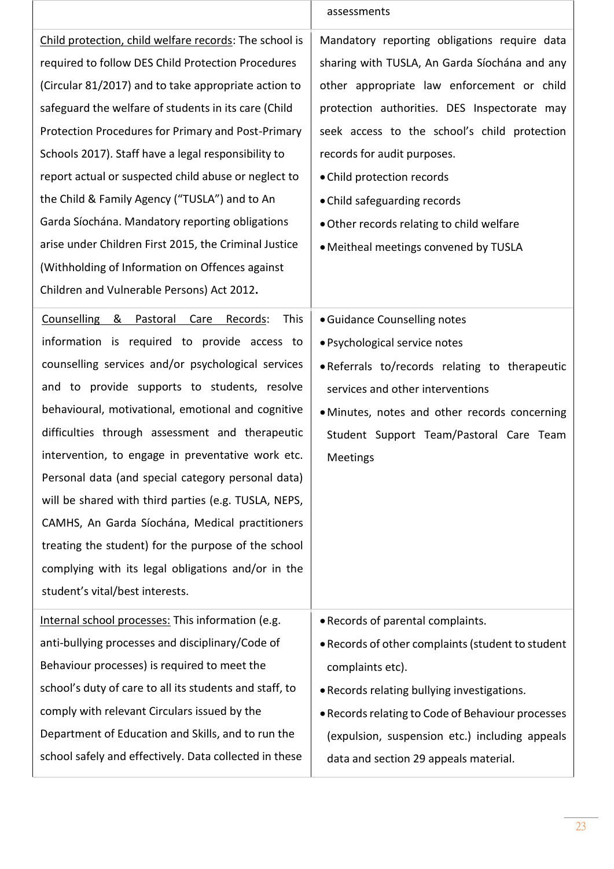|                                                                                                                                                                                                                                                                                                                                                                                                                                                                                                                                                                                                                                                                                                       | assessments                                                                                                                                                                                                                                                                                                                                                                                                                    |
|-------------------------------------------------------------------------------------------------------------------------------------------------------------------------------------------------------------------------------------------------------------------------------------------------------------------------------------------------------------------------------------------------------------------------------------------------------------------------------------------------------------------------------------------------------------------------------------------------------------------------------------------------------------------------------------------------------|--------------------------------------------------------------------------------------------------------------------------------------------------------------------------------------------------------------------------------------------------------------------------------------------------------------------------------------------------------------------------------------------------------------------------------|
| Child protection, child welfare records: The school is<br>required to follow DES Child Protection Procedures<br>(Circular 81/2017) and to take appropriate action to<br>safeguard the welfare of students in its care (Child<br>Protection Procedures for Primary and Post-Primary<br>Schools 2017). Staff have a legal responsibility to<br>report actual or suspected child abuse or neglect to<br>the Child & Family Agency ("TUSLA") and to An<br>Garda Síochána. Mandatory reporting obligations<br>arise under Children First 2015, the Criminal Justice<br>(Withholding of Information on Offences against<br>Children and Vulnerable Persons) Act 2012.                                       | Mandatory reporting obligations require data<br>sharing with TUSLA, An Garda Síochána and any<br>other appropriate law enforcement or child<br>protection authorities. DES Inspectorate may<br>seek access to the school's child protection<br>records for audit purposes.<br>• Child protection records<br>• Child safeguarding records<br>• Other records relating to child welfare<br>• Meitheal meetings convened by TUSLA |
| <b>Counselling</b><br>& Pastoral Care<br><b>This</b><br>Records:<br>information is required to provide access to<br>counselling services and/or psychological services<br>and to provide supports to students, resolve<br>behavioural, motivational, emotional and cognitive<br>difficulties through assessment and therapeutic<br>intervention, to engage in preventative work etc.<br>Personal data (and special category personal data)<br>will be shared with third parties (e.g. TUSLA, NEPS,<br>CAMHS, An Garda Síochána, Medical practitioners<br>treating the student) for the purpose of the school<br>complying with its legal obligations and/or in the<br>student's vital/best interests. | · Guidance Counselling notes<br>· Psychological service notes<br>. Referrals to/records relating to therapeutic<br>services and other interventions<br>· Minutes, notes and other records concerning<br>Student Support Team/Pastoral Care Team<br>Meetings                                                                                                                                                                    |
| Internal school processes: This information (e.g.<br>anti-bullying processes and disciplinary/Code of<br>Behaviour processes) is required to meet the<br>school's duty of care to all its students and staff, to<br>comply with relevant Circulars issued by the<br>Department of Education and Skills, and to run the<br>school safely and effectively. Data collected in these                                                                                                                                                                                                                                                                                                                      | · Records of parental complaints.<br>. Records of other complaints (student to student<br>complaints etc).<br>. Records relating bullying investigations.<br>• Records relating to Code of Behaviour processes<br>(expulsion, suspension etc.) including appeals<br>data and section 29 appeals material.                                                                                                                      |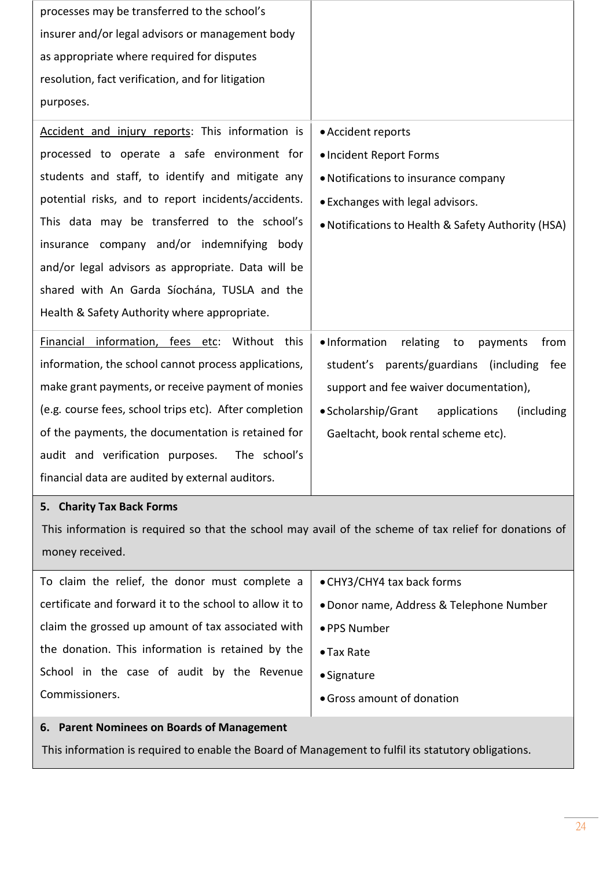| processes may be transferred to the school's           |                                                     |
|--------------------------------------------------------|-----------------------------------------------------|
| insurer and/or legal advisors or management body       |                                                     |
| as appropriate where required for disputes             |                                                     |
| resolution, fact verification, and for litigation      |                                                     |
| purposes.                                              |                                                     |
| Accident and injury reports: This information is       | • Accident reports                                  |
| processed to operate a safe environment for            | · Incident Report Forms                             |
| students and staff, to identify and mitigate any       | • Notifications to insurance company                |
| potential risks, and to report incidents/accidents.    | • Exchanges with legal advisors.                    |
| This data may be transferred to the school's           | . Notifications to Health & Safety Authority (HSA)  |
| insurance company and/or indemnifying body             |                                                     |
| and/or legal advisors as appropriate. Data will be     |                                                     |
| shared with An Garda Síochána, TUSLA and the           |                                                     |
| Health & Safety Authority where appropriate.           |                                                     |
| Financial information, fees etc: Without this          | • Information<br>relating<br>from<br>to<br>payments |
| information, the school cannot process applications,   | student's parents/guardians (including<br>fee       |
| make grant payments, or receive payment of monies      | support and fee waiver documentation),              |
| (e.g. course fees, school trips etc). After completion | • Scholarship/Grant<br>applications<br>(including   |
| of the payments, the documentation is retained for     | Gaeltacht, book rental scheme etc).                 |
| The school's<br>audit and verification purposes.       |                                                     |
| financial data are audited by external auditors.       |                                                     |

### **5. Charity Tax Back Forms**

This information is required so that the school may avail of the scheme of tax relief for donations of money received.

To claim the relief, the donor must complete a certificate and forward it to the school to allow it to claim the grossed up amount of tax associated with the donation. This information is retained by the School in the case of audit by the Revenue Commissioners.

- •CHY3/CHY4 tax back forms
- •Donor name, Address & Telephone Number
- PPS Number
- Tax Rate
- Signature
- •Gross amount of donation

#### **6. Parent Nominees on Boards of Management**

This information is required to enable the Board of Management to fulfil its statutory obligations.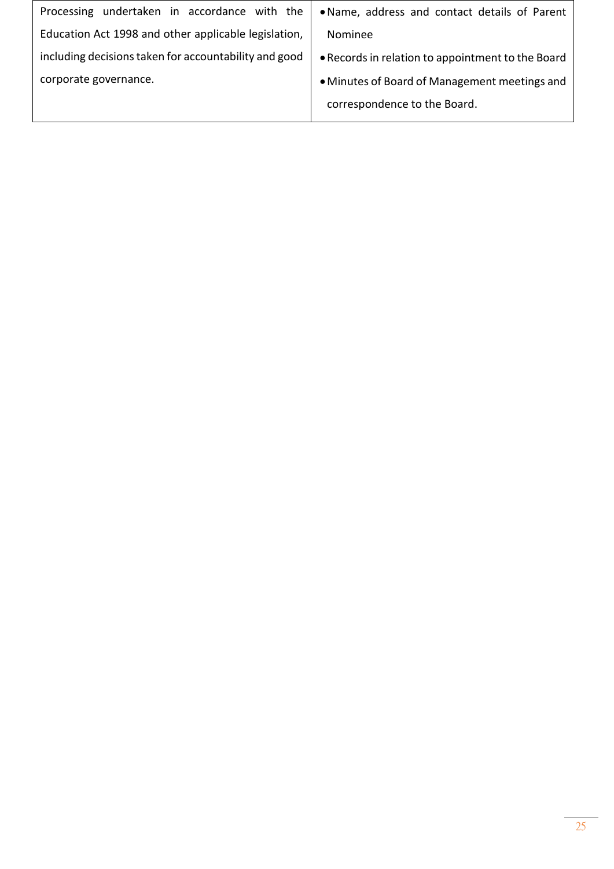| Processing undertaken in accordance with the          | . Name, address and contact details of Parent     |
|-------------------------------------------------------|---------------------------------------------------|
| Education Act 1998 and other applicable legislation,  | Nominee                                           |
| including decisions taken for accountability and good | • Records in relation to appointment to the Board |
| corporate governance.                                 | • Minutes of Board of Management meetings and     |
|                                                       | correspondence to the Board.                      |
|                                                       |                                                   |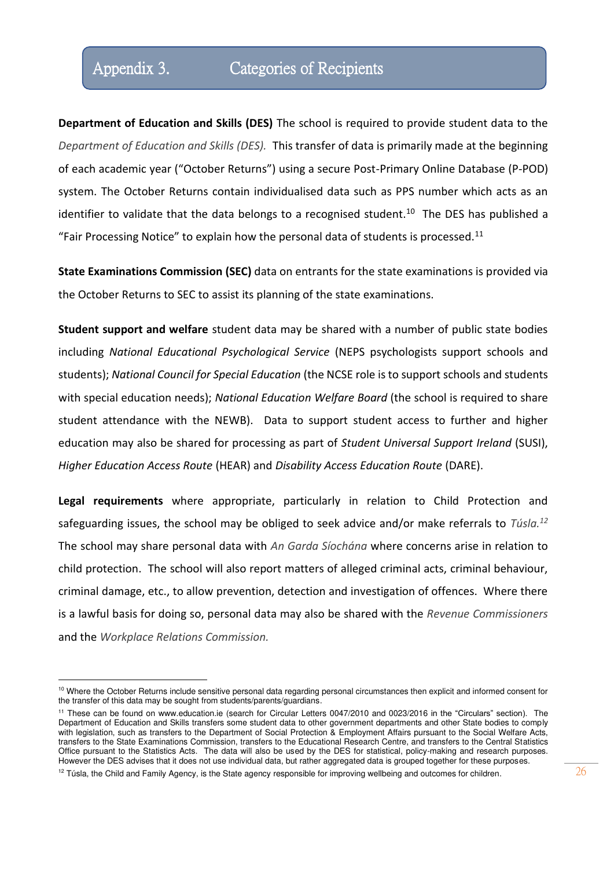### Appendix 3. Categories of Recipients

**Department of Education and Skills (DES)** The school is required to provide student data to the *Department of Education and Skills (DES).* This transfer of data is primarily made at the beginning of each academic year ("October Returns") using a secure Post-Primary Online Database (P-POD) system. The October Returns contain individualised data such as PPS number which acts as an identifier to validate that the data belongs to a recognised student.<sup>10</sup> The DES has published a "Fair Processing Notice" to explain how the personal data of students is processed.<sup>11</sup>

**State Examinations Commission (SEC)** data on entrants for the state examinations is provided via the October Returns to SEC to assist its planning of the state examinations.

**Student support and welfare** student data may be shared with a number of public state bodies including *National Educational Psychological Service* (NEPS psychologists support schools and students); *National Council for Special Education* (the NCSE role is to support schools and students with special education needs); *National Education Welfare Board* (the school is required to share student attendance with the NEWB). Data to support student access to further and higher education may also be shared for processing as part of *Student Universal Support Ireland* (SUSI), *Higher Education Access Route* (HEAR) and *Disability Access Education Route* (DARE).

**Legal requirements** where appropriate, particularly in relation to Child Protection and safeguarding issues, the school may be obliged to seek advice and/or make referrals to *Túsla.<sup>12</sup>* The school may share personal data with *An Garda Síochána* where concerns arise in relation to child protection. The school will also report matters of alleged criminal acts, criminal behaviour, criminal damage, etc., to allow prevention, detection and investigation of offences. Where there is a lawful basis for doing so, personal data may also be shared with the *Revenue Commissioners* and the *Workplace Relations Commission.*

<sup>&</sup>lt;sup>10</sup> Where the October Returns include sensitive personal data regarding personal circumstances then explicit and informed consent for the transfer of this data may be sought from students/parents/guardians.

<sup>11</sup> These can be found on www.education.ie (search for Circular Letters 0047/2010 and 0023/2016 in the "Circulars" section). The Department of Education and Skills transfers some student data to other government departments and other State bodies to comply with legislation, such as transfers to the Department of Social Protection & Employment Affairs pursuant to the Social Welfare Acts, transfers to the State Examinations Commission, transfers to the Educational Research Centre, and transfers to the Central Statistics Office pursuant to the Statistics Acts. The data will also be used by the DES for statistical, policy-making and research purposes. However the DES advises that it does not use individual data, but rather aggregated data is grouped together for these purposes.

 $12$  Túsla, the Child and Family Agency, is the State agency responsible for improving wellbeing and outcomes for children.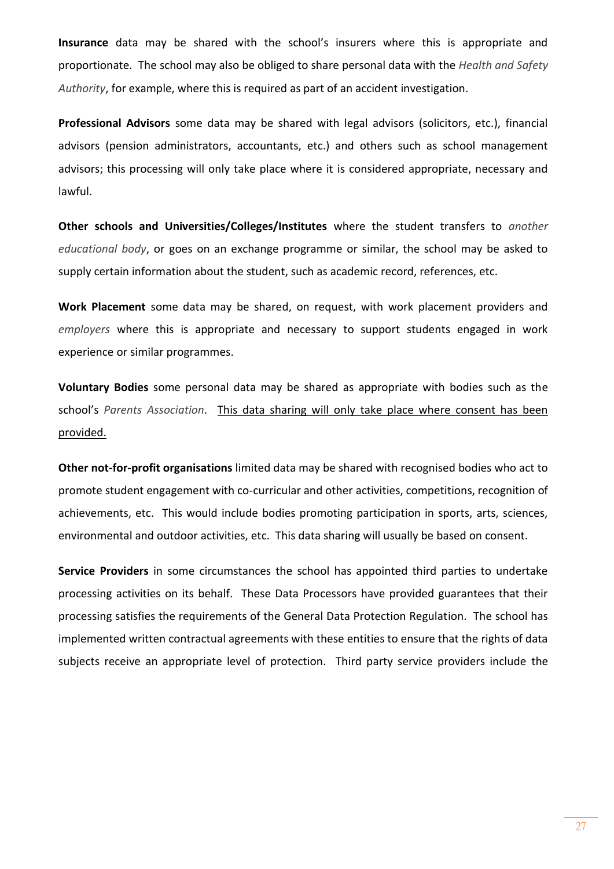**Insurance** data may be shared with the school's insurers where this is appropriate and proportionate. The school may also be obliged to share personal data with the *Health and Safety Authority*, for example, where this is required as part of an accident investigation.

**Professional Advisors** some data may be shared with legal advisors (solicitors, etc.), financial advisors (pension administrators, accountants, etc.) and others such as school management advisors; this processing will only take place where it is considered appropriate, necessary and lawful.

**Other schools and Universities/Colleges/Institutes** where the student transfers to *another educational body*, or goes on an exchange programme or similar, the school may be asked to supply certain information about the student, such as academic record, references, etc.

**Work Placement** some data may be shared, on request, with work placement providers and *employers* where this is appropriate and necessary to support students engaged in work experience or similar programmes.

**Voluntary Bodies** some personal data may be shared as appropriate with bodies such as the school's *Parents Association*. This data sharing will only take place where consent has been provided.

**Other not-for-profit organisations** limited data may be shared with recognised bodies who act to promote student engagement with co-curricular and other activities, competitions, recognition of achievements, etc. This would include bodies promoting participation in sports, arts, sciences, environmental and outdoor activities, etc. This data sharing will usually be based on consent.

**Service Providers** in some circumstances the school has appointed third parties to undertake processing activities on its behalf. These Data Processors have provided guarantees that their processing satisfies the requirements of the General Data Protection Regulation. The school has implemented written contractual agreements with these entities to ensure that the rights of data subjects receive an appropriate level of protection. Third party service providers include the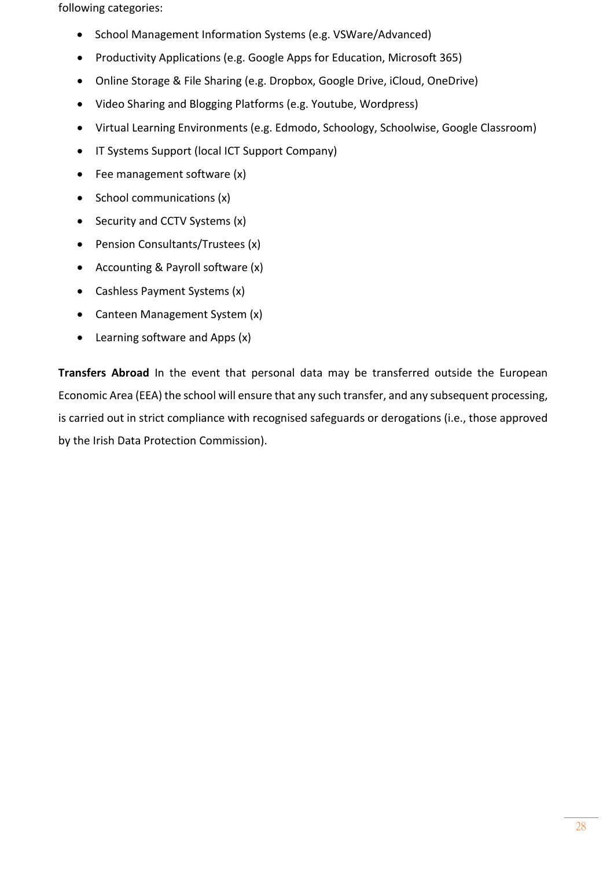following categories:

- School Management Information Systems (e.g. VSWare/Advanced)
- Productivity Applications (e.g. Google Apps for Education, Microsoft 365)
- Online Storage & File Sharing (e.g. Dropbox, Google Drive, iCloud, OneDrive)
- Video Sharing and Blogging Platforms (e.g. Youtube, Wordpress)
- Virtual Learning Environments (e.g. Edmodo, Schoology, Schoolwise, Google Classroom)
- IT Systems Support (local ICT Support Company)
- Fee management software (x)
- School communications (x)
- Security and CCTV Systems (x)
- Pension Consultants/Trustees (x)
- Accounting & Payroll software (x)
- Cashless Payment Systems (x)
- Canteen Management System (x)
- Learning software and Apps (x)

**Transfers Abroad** In the event that personal data may be transferred outside the European Economic Area (EEA) the school will ensure that any such transfer, and any subsequent processing, is carried out in strict compliance with recognised safeguards or derogations (i.e., those approved by the Irish Data Protection Commission).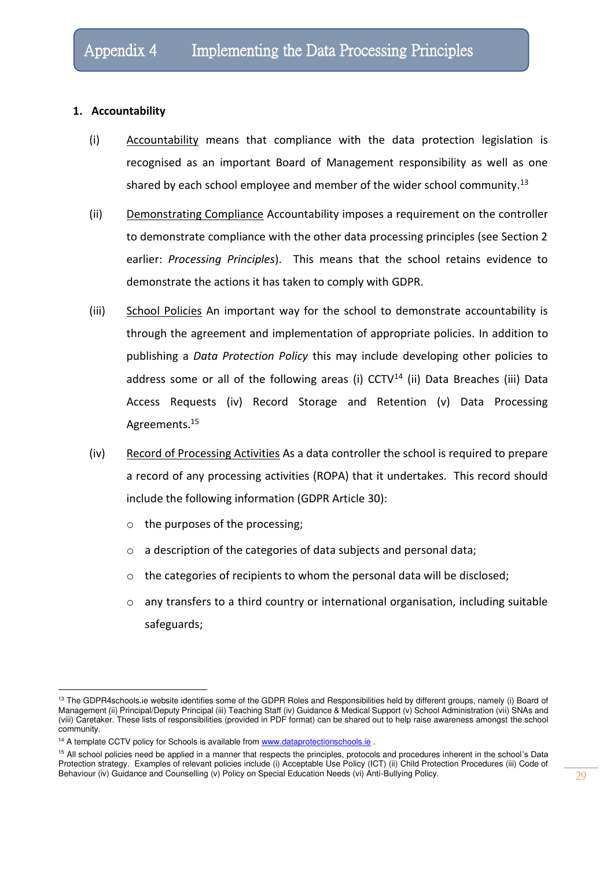#### **1. Accountability**

- (i) Accountability means that compliance with the data protection legislation is recognised as an important Board of Management responsibility as well as one shared by each school employee and member of the wider school community.<sup>13</sup>
- (ii) Demonstrating Compliance Accountability imposes a requirement on the controller to demonstrate compliance with the other data processing principles (see Section 2 earlier: *Processing Principles*). This means that the school retains evidence to demonstrate the actions it has taken to comply with GDPR.
- (iii) School Policies An important way for the school to demonstrate accountability is through the agreement and implementation of appropriate policies. In addition to publishing a *Data Protection Policy* this may include developing other policies to address some or all of the following areas (i)  $CCTV<sup>14</sup>$  (ii) Data Breaches (iii) Data Access Requests (iv) Record Storage and Retention (v) Data Processing Agreements.<sup>15</sup>
- (iv) Record of Processing Activities As a data controller the school is required to prepare a record of any processing activities (ROPA) that it undertakes. This record should include the following information (GDPR Article 30):
	- o the purposes of the processing;
	- o a description of the categories of data subjects and personal data;
	- o the categories of recipients to whom the personal data will be disclosed;
	- $\circ$  any transfers to a third country or international organisation, including suitable safeguards;

<sup>&</sup>lt;sup>13</sup> The GDPR4schools.ie website identifies some of the GDPR Roles and Responsibilities held by different groups, namely (i) Board of Management (ii) Principal/Deputy Principal (iii) Teaching Staff (iv) Guidance & Medical Support (v) School Administration (vii) SNAs and (viii) Caretaker. These lists of responsibilities (provided in PDF format) can be shared out to help raise awareness amongst the school community.

<sup>&</sup>lt;sup>14</sup> A template CCTV policy for Schools is available from www.dataprotectionschools.ie.

<sup>&</sup>lt;sup>15</sup> All school policies need be applied in a manner that respects the principles, protocols and procedures inherent in the school's Data Protection strategy. Examples of relevant policies include (i) Acceptable Use Policy (ICT) (ii) Child Protection Procedures (iii) Code of Behaviour (iv) Guidance and Counselling (v) Policy on Special Education Needs (vi) Anti-Bullying Policy.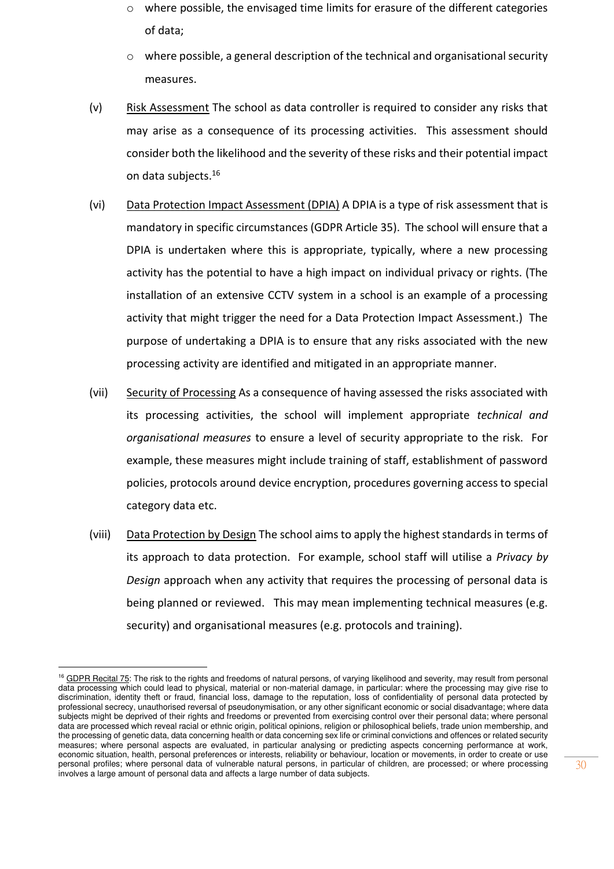- $\circ$  where possible, the envisaged time limits for erasure of the different categories of data;
- o where possible, a general description of the technical and organisational security measures.
- (v) Risk Assessment The school as data controller is required to consider any risks that may arise as a consequence of its processing activities. This assessment should consider both the likelihood and the severity of these risks and their potential impact on data subjects.<sup>16</sup>
- (vi) Data Protection Impact Assessment (DPIA) A DPIA is a type of risk assessment that is mandatory in specific circumstances (GDPR Article 35). The school will ensure that a DPIA is undertaken where this is appropriate, typically, where a new processing activity has the potential to have a high impact on individual privacy or rights. (The installation of an extensive CCTV system in a school is an example of a processing activity that might trigger the need for a Data Protection Impact Assessment.) The purpose of undertaking a DPIA is to ensure that any risks associated with the new processing activity are identified and mitigated in an appropriate manner.
- (vii) Security of Processing As a consequence of having assessed the risks associated with its processing activities, the school will implement appropriate *technical and organisational measures* to ensure a level of security appropriate to the risk. For example, these measures might include training of staff, establishment of password policies, protocols around device encryption, procedures governing access to special category data etc.
- (viii) Data Protection by Design The school aims to apply the highest standards in terms of its approach to data protection. For example, school staff will utilise a *Privacy by Design* approach when any activity that requires the processing of personal data is being planned or reviewed. This may mean implementing technical measures (e.g. security) and organisational measures (e.g. protocols and training).

<sup>&</sup>lt;sup>16</sup> GDPR Recital 75: The risk to the rights and freedoms of natural persons, of varying likelihood and severity, may result from personal data processing which could lead to physical, material or non-material damage, in particular: where the processing may give rise to discrimination, identity theft or fraud, financial loss, damage to the reputation, loss of confidentiality of personal data protected by professional secrecy, unauthorised reversal of pseudonymisation, or any other significant economic or social disadvantage; where data subjects might be deprived of their rights and freedoms or prevented from exercising control over their personal data; where personal data are processed which reveal racial or ethnic origin, political opinions, religion or philosophical beliefs, trade union membership, and the processing of genetic data, data concerning health or data concerning sex life or criminal convictions and offences or related security measures; where personal aspects are evaluated, in particular analysing or predicting aspects concerning performance at work, economic situation, health, personal preferences or interests, reliability or behaviour, location or movements, in order to create or use personal profiles; where personal data of vulnerable natural persons, in particular of children, are processed; or where processing involves a large amount of personal data and affects a large number of data subjects.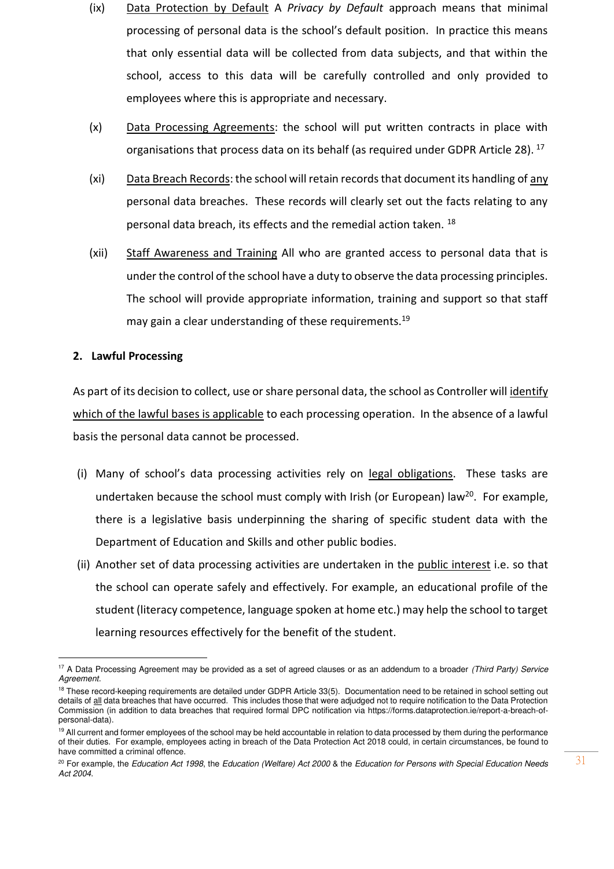- (ix) Data Protection by Default A *Privacy by Default* approach means that minimal processing of personal data is the school's default position. In practice this means that only essential data will be collected from data subjects, and that within the school, access to this data will be carefully controlled and only provided to employees where this is appropriate and necessary.
- (x) Data Processing Agreements: the school will put written contracts in place with organisations that process data on its behalf (as required under GDPR Article 28).<sup>17</sup>
- (xi) Data Breach Records: the school will retain records that document its handling of any personal data breaches. These records will clearly set out the facts relating to any personal data breach, its effects and the remedial action taken. <sup>18</sup>
- (xii) Staff Awareness and Training All who are granted access to personal data that is under the control of the school have a duty to observe the data processing principles. The school will provide appropriate information, training and support so that staff may gain a clear understanding of these requirements.<sup>19</sup>

### **2. Lawful Processing**

As part of its decision to collect, use or share personal data, the school as Controller will identify which of the lawful bases is applicable to each processing operation. In the absence of a lawful basis the personal data cannot be processed.

- (i) Many of school's data processing activities rely on legal obligations. These tasks are undertaken because the school must comply with Irish (or European) law<sup>20</sup>. For example, there is a legislative basis underpinning the sharing of specific student data with the Department of Education and Skills and other public bodies.
- (ii) Another set of data processing activities are undertaken in the public interest i.e. so that the school can operate safely and effectively. For example, an educational profile of the student (literacy competence, language spoken at home etc.) may help the school to target learning resources effectively for the benefit of the student.

<sup>&</sup>lt;sup>17</sup> A Data Processing Agreement may be provided as a set of agreed clauses or as an addendum to a broader (Third Party) Service Agreement.

<sup>&</sup>lt;sup>18</sup> These record-keeping requirements are detailed under GDPR Article 33(5). Documentation need to be retained in school setting out details of all data breaches that have occurred. This includes those that were adjudged not to require notification to the Data Protection Commission (in addition to data breaches that required formal DPC notification via https://forms.dataprotection.ie/report-a-breach-ofpersonal-data).

<sup>&</sup>lt;sup>19</sup> All current and former employees of the school may be held accountable in relation to data processed by them during the performance of their duties. For example, employees acting in breach of the Data Protection Act 2018 could, in certain circumstances, be found to have committed a criminal offence.

<sup>&</sup>lt;sup>20</sup> For example, the Education Act 1998, the Education (Welfare) Act 2000 & the Education for Persons with Special Education Needs Act 2004.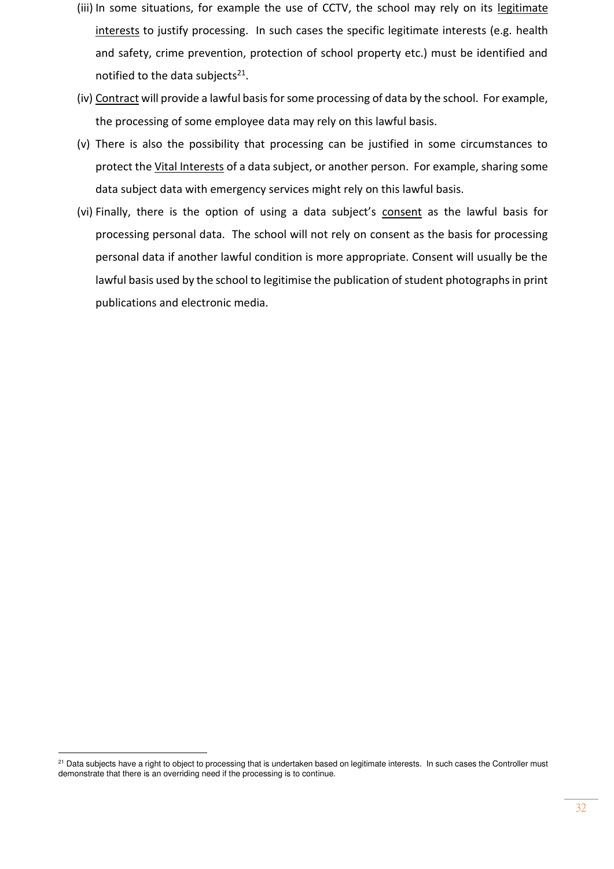- (iii) In some situations, for example the use of CCTV, the school may rely on its legitimate interests to justify processing. In such cases the specific legitimate interests (e.g. health and safety, crime prevention, protection of school property etc.) must be identified and notified to the data subjects<sup>21</sup>.
- (iv) Contract will provide a lawful basis for some processing of data by the school. For example, the processing of some employee data may rely on this lawful basis.
- (v) There is also the possibility that processing can be justified in some circumstances to protect the Vital Interests of a data subject, or another person. For example, sharing some data subject data with emergency services might rely on this lawful basis.
- (vi) Finally, there is the option of using a data subject's consent as the lawful basis for processing personal data. The school will not rely on consent as the basis for processing personal data if another lawful condition is more appropriate. Consent will usually be the lawful basis used by the school to legitimise the publication of student photographs in print publications and electronic media.

<sup>&</sup>lt;sup>21</sup> Data subjects have a right to object to processing that is undertaken based on legitimate interests. In such cases the Controller must demonstrate that there is an overriding need if the processing is to continue.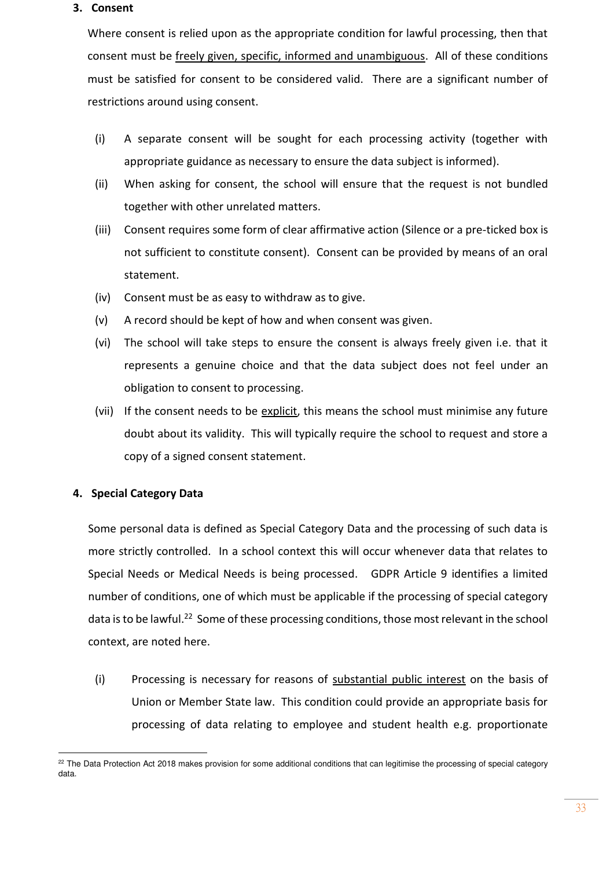#### **3. Consent**

Where consent is relied upon as the appropriate condition for lawful processing, then that consent must be freely given, specific, informed and unambiguous. All of these conditions must be satisfied for consent to be considered valid. There are a significant number of restrictions around using consent.

- (i) A separate consent will be sought for each processing activity (together with appropriate guidance as necessary to ensure the data subject is informed).
- (ii) When asking for consent, the school will ensure that the request is not bundled together with other unrelated matters.
- (iii) Consent requires some form of clear affirmative action (Silence or a pre-ticked box is not sufficient to constitute consent). Consent can be provided by means of an oral statement.
- (iv) Consent must be as easy to withdraw as to give.
- (v) A record should be kept of how and when consent was given.
- (vi) The school will take steps to ensure the consent is always freely given i.e. that it represents a genuine choice and that the data subject does not feel under an obligation to consent to processing.
- (vii) If the consent needs to be explicit, this means the school must minimise any future doubt about its validity. This will typically require the school to request and store a copy of a signed consent statement.

### **4. Special Category Data**

Some personal data is defined as Special Category Data and the processing of such data is more strictly controlled. In a school context this will occur whenever data that relates to Special Needs or Medical Needs is being processed. GDPR Article 9 identifies a limited number of conditions, one of which must be applicable if the processing of special category data is to be lawful.<sup>22</sup> Some of these processing conditions, those most relevant in the school context, are noted here.

(i) Processing is necessary for reasons of substantial public interest on the basis of Union or Member State law. This condition could provide an appropriate basis for processing of data relating to employee and student health e.g. proportionate

<sup>&</sup>lt;sup>22</sup> The Data Protection Act 2018 makes provision for some additional conditions that can legitimise the processing of special category data.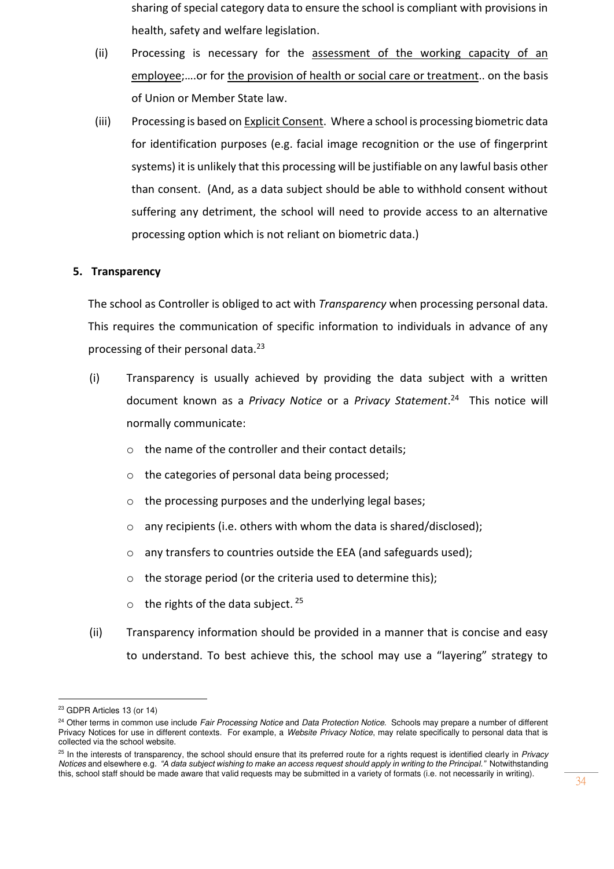- sharing of special category data to ensure the school is compliant with provisions in health, safety and welfare legislation.
- (ii) Processing is necessary for the assessment of the working capacity of an employee;….or for the provision of health or social care or treatment.. on the basis of Union or Member State law.
- (iii) Processing is based on Explicit Consent. Where a school is processing biometric data for identification purposes (e.g. facial image recognition or the use of fingerprint systems) it is unlikely that this processing will be justifiable on any lawful basis other than consent. (And, as a data subject should be able to withhold consent without suffering any detriment, the school will need to provide access to an alternative processing option which is not reliant on biometric data.)

### **5. Transparency**

The school as Controller is obliged to act with *Transparency* when processing personal data. This requires the communication of specific information to individuals in advance of any processing of their personal data.<sup>23</sup>

- (i) Transparency is usually achieved by providing the data subject with a written document known as a *Privacy Notice* or a *Privacy Statement*. 24 This notice will normally communicate:
	- o the name of the controller and their contact details;
	- o the categories of personal data being processed;
	- o the processing purposes and the underlying legal bases;
	- o any recipients (i.e. others with whom the data is shared/disclosed);
	- o any transfers to countries outside the EEA (and safeguards used);
	- o the storage period (or the criteria used to determine this);
	- $\circ$  the rights of the data subject. <sup>25</sup>
- (ii) Transparency information should be provided in a manner that is concise and easy to understand. To best achieve this, the school may use a "layering" strategy to

<sup>23</sup> GDPR Articles 13 (or 14)

<sup>&</sup>lt;sup>24</sup> Other terms in common use include Fair Processing Notice and Data Protection Notice. Schools may prepare a number of different Privacy Notices for use in different contexts. For example, a Website Privacy Notice, may relate specifically to personal data that is collected via the school website.

 $25$  In the interests of transparency, the school should ensure that its preferred route for a rights request is identified clearly in Privacy Notices and elsewhere e.g. *"A data subject wishing to make an access request should apply in writing to the Principal."* Notwithstanding this, school staff should be made aware that valid requests may be submitted in a variety of formats (i.e. not necessarily in writing).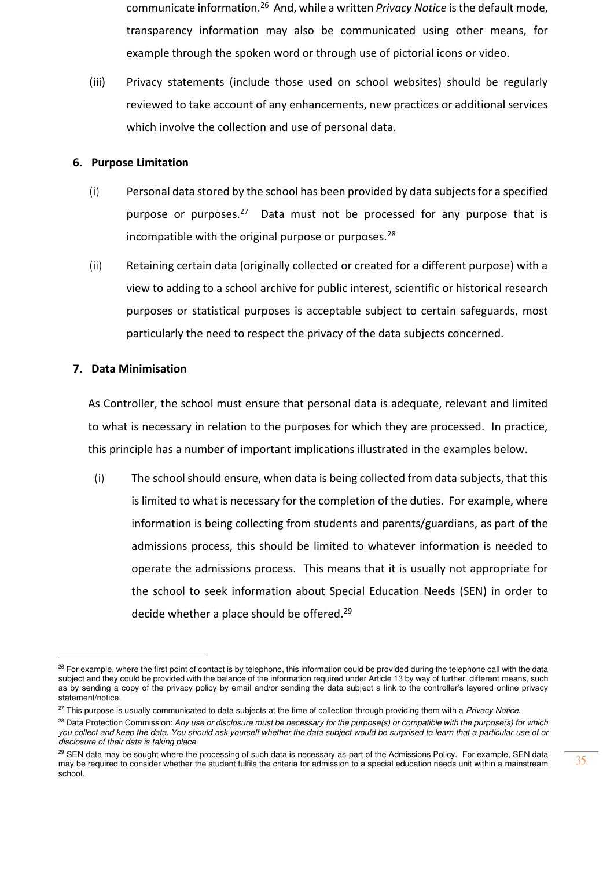- communicate information.<sup>26</sup> And, while a written *Privacy Notice* is the default mode, transparency information may also be communicated using other means, for example through the spoken word or through use of pictorial icons or video.
- (iii) Privacy statements (include those used on school websites) should be regularly reviewed to take account of any enhancements, new practices or additional services which involve the collection and use of personal data.

#### **6. Purpose Limitation**

- (i) Personal data stored by the school has been provided by data subjects for a specified purpose or purposes.<sup>27</sup> Data must not be processed for any purpose that is incompatible with the original purpose or purposes.<sup>28</sup>
- (ii) Retaining certain data (originally collected or created for a different purpose) with a view to adding to a school archive for public interest, scientific or historical research purposes or statistical purposes is acceptable subject to certain safeguards, most particularly the need to respect the privacy of the data subjects concerned.

### **7. Data Minimisation**

As Controller, the school must ensure that personal data is adequate, relevant and limited to what is necessary in relation to the purposes for which they are processed. In practice, this principle has a number of important implications illustrated in the examples below.

(i) The school should ensure, when data is being collected from data subjects, that this is limited to what is necessary for the completion of the duties. For example, where information is being collecting from students and parents/guardians, as part of the admissions process, this should be limited to whatever information is needed to operate the admissions process. This means that it is usually not appropriate for the school to seek information about Special Education Needs (SEN) in order to decide whether a place should be offered.<sup>29</sup>

<sup>&</sup>lt;sup>26</sup> For example, where the first point of contact is by telephone, this information could be provided during the telephone call with the data subject and they could be provided with the balance of the information required under Article 13 by way of further, different means, such as by sending a copy of the privacy policy by email and/or sending the data subject a link to the controller's layered online privacy statement/notice.

<sup>&</sup>lt;sup>27</sup> This purpose is usually communicated to data subjects at the time of collection through providing them with a Privacy Notice.

<sup>&</sup>lt;sup>28</sup> Data Protection Commission: Any use or disclosure must be necessary for the purpose(s) or compatible with the purpose(s) for which you collect and keep the data. You should ask yourself whether the data subject would be surprised to learn that a particular use of or disclosure of their data is taking place.

<sup>&</sup>lt;sup>29</sup> SEN data may be sought where the processing of such data is necessary as part of the Admissions Policy. For example, SEN data may be required to consider whether the student fulfils the criteria for admission to a special education needs unit within a mainstream school.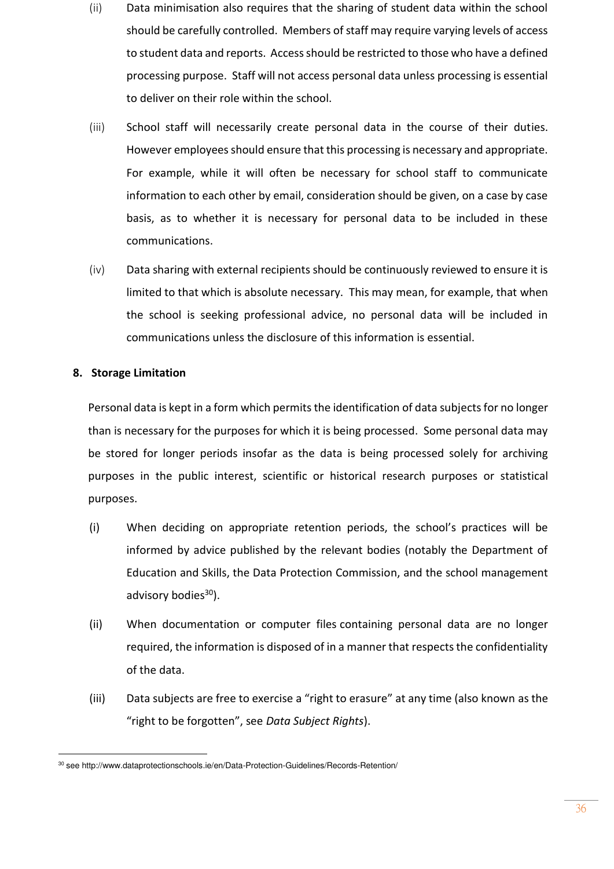- (ii) Data minimisation also requires that the sharing of student data within the school should be carefully controlled. Members of staff may require varying levels of access to student data and reports. Access should be restricted to those who have a defined processing purpose. Staff will not access personal data unless processing is essential to deliver on their role within the school.
- (iii) School staff will necessarily create personal data in the course of their duties. However employees should ensure that this processing is necessary and appropriate. For example, while it will often be necessary for school staff to communicate information to each other by email, consideration should be given, on a case by case basis, as to whether it is necessary for personal data to be included in these communications.
- (iv) Data sharing with external recipients should be continuously reviewed to ensure it is limited to that which is absolute necessary. This may mean, for example, that when the school is seeking professional advice, no personal data will be included in communications unless the disclosure of this information is essential.

### **8. Storage Limitation**

Personal data is kept in a form which permits the identification of data subjects for no longer than is necessary for the purposes for which it is being processed. Some personal data may be stored for longer periods insofar as the data is being processed solely for archiving purposes in the public interest, scientific or historical research purposes or statistical purposes.

- (i) When deciding on appropriate retention periods, the school's practices will be informed by advice published by the relevant bodies (notably the Department of Education and Skills, the Data Protection Commission, and the school management advisory bodies $30$ ).
- (ii) When documentation or computer files containing personal data are no longer required, the information is disposed of in a manner that respects the confidentiality of the data.
- (iii) Data subjects are free to exercise a "right to erasure" at any time (also known as the "right to be forgotten", see *Data Subject Rights*).

<sup>30</sup> se[e http://www.dataprotectionschools.ie/en/Data-Protection-Guidelines/Records-Retention/](http://www.dataprotectionschools.ie/en/Data-Protection-Guidelines/Records-Retention/)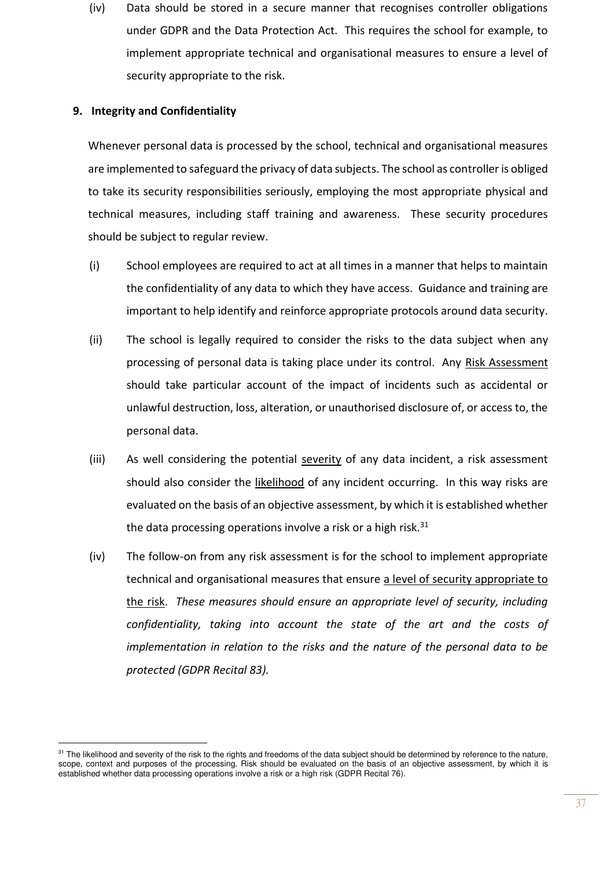(iv) Data should be stored in a secure manner that recognises controller obligations under GDPR and the Data Protection Act. This requires the school for example, to implement appropriate technical and organisational measures to ensure a level of security appropriate to the risk.

### **9. Integrity and Confidentiality**

Whenever personal data is processed by the school, technical and organisational measures are implemented to safeguard the privacy of data subjects. The school as controller is obliged to take its security responsibilities seriously, employing the most appropriate physical and technical measures, including staff training and awareness. These security procedures should be subject to regular review.

- (i) School employees are required to act at all times in a manner that helps to maintain the confidentiality of any data to which they have access. Guidance and training are important to help identify and reinforce appropriate protocols around data security.
- (ii) The school is legally required to consider the risks to the data subject when any processing of personal data is taking place under its control. Any Risk Assessment should take particular account of the impact of incidents such as accidental or unlawful destruction, loss, alteration, or unauthorised disclosure of, or access to, the personal data.
- (iii) As well considering the potential severity of any data incident, a risk assessment should also consider the likelihood of any incident occurring. In this way risks are evaluated on the basis of an objective assessment, by which it is established whether the data processing operations involve a risk or a high risk. $31$
- (iv) The follow-on from any risk assessment is for the school to implement appropriate technical and organisational measures that ensure a level of security appropriate to the risk. *These measures should ensure an appropriate level of security, including confidentiality, taking into account the state of the art and the costs of implementation in relation to the risks and the nature of the personal data to be protected (GDPR Recital 83).*

<sup>&</sup>lt;sup>31</sup> The likelihood and severity of the risk to the rights and freedoms of the data subject should be determined by reference to the nature, scope, context and purposes of the processing. Risk should be evaluated on the basis of an objective assessment, by which it is established whether data processing operations involve a risk or a high risk (GDPR Recital 76).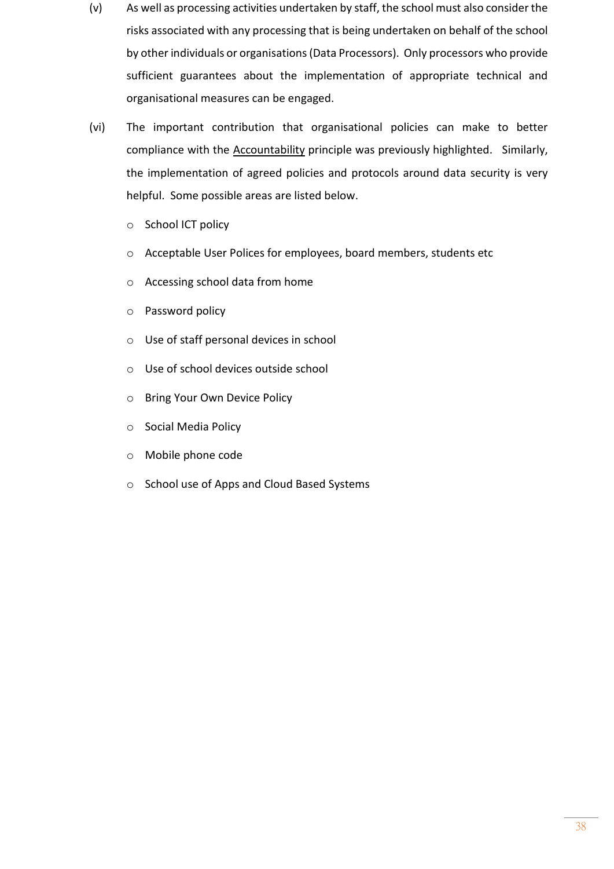- (v) As well as processing activities undertaken by staff, the school must also consider the risks associated with any processing that is being undertaken on behalf of the school by other individuals or organisations (Data Processors). Only processors who provide sufficient guarantees about the implementation of appropriate technical and organisational measures can be engaged.
- (vi) The important contribution that organisational policies can make to better compliance with the Accountability principle was previously highlighted. Similarly, the implementation of agreed policies and protocols around data security is very helpful. Some possible areas are listed below.
	- o School ICT policy
	- o Acceptable User Polices for employees, board members, students etc
	- o Accessing school data from home
	- o Password policy
	- o Use of staff personal devices in school
	- o Use of school devices outside school
	- o Bring Your Own Device Policy
	- o Social Media Policy
	- o Mobile phone code
	- o School use of Apps and Cloud Based Systems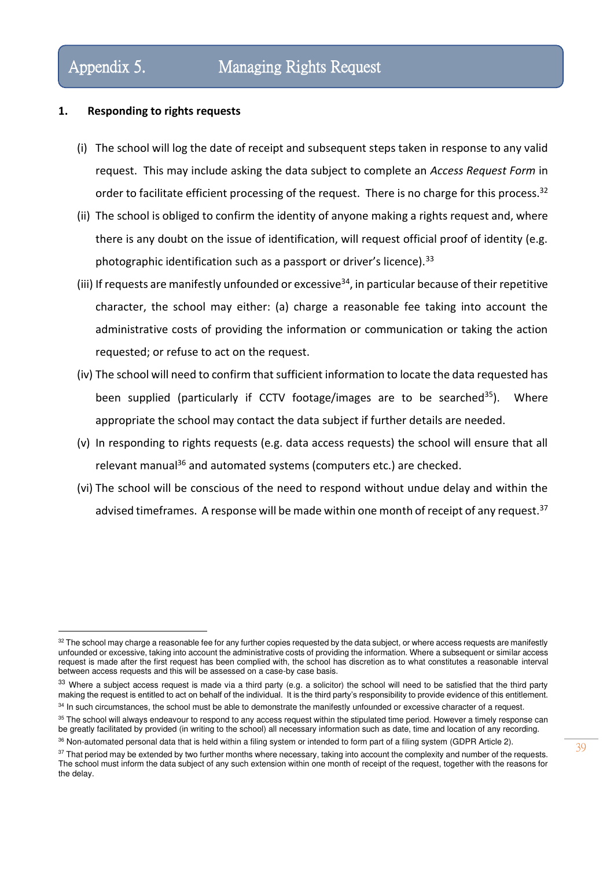### **1. Responding to rights requests**

- (i) The school will log the date of receipt and subsequent steps taken in response to any valid request. This may include asking the data subject to complete an *Access Request Form* in order to facilitate efficient processing of the request. There is no charge for this process.<sup>32</sup>
- (ii) The school is obliged to confirm the identity of anyone making a rights request and, where there is any doubt on the issue of identification, will request official proof of identity (e.g. photographic identification such as a passport or driver's licence).<sup>33</sup>
- (iii) If requests are manifestly unfounded or excessive  $34$ , in particular because of their repetitive character, the school may either: (a) charge a reasonable fee taking into account the administrative costs of providing the information or communication or taking the action requested; or refuse to act on the request.
- (iv) The school will need to confirm that sufficient information to locate the data requested has been supplied (particularly if CCTV footage/images are to be searched<sup>35</sup>). Where appropriate the school may contact the data subject if further details are needed.
- (v) In responding to rights requests (e.g. data access requests) the school will ensure that all relevant manual<sup>36</sup> and automated systems (computers etc.) are checked.
- (vi) The school will be conscious of the need to respond without undue delay and within the advised timeframes. A response will be made within one month of receipt of any request.<sup>37</sup>

<sup>32</sup> The school may charge a reasonable fee for any further copies requested by the data subject, or where access requests are manifestly unfounded or excessive, taking into account the administrative costs of providing the information. Where a subsequent or similar access request is made after the first request has been complied with, the school has discretion as to what constitutes a reasonable interval between access requests and this will be assessed on a case-by case basis.

<sup>33</sup> Where a subject access request is made via a third party (e.g. a solicitor) the school will need to be satisfied that the third party making the request is entitled to act on behalf of the individual. It is the third party's responsibility to provide evidence of this entitlement.

<sup>&</sup>lt;sup>34</sup> In such circumstances, the school must be able to demonstrate the manifestly unfounded or excessive character of a request. <sup>35</sup> The school will always endeavour to respond to any access request within the stipulated time period. However a timely response can be greatly facilitated by provided (in writing to the school) all necessary information such as date, time and location of any recording.

<sup>36</sup> Non-automated personal data that is held within a filing system or intended to form part of a filing system (GDPR Article 2).

<sup>&</sup>lt;sup>37</sup> That period may be extended by two further months where necessary, taking into account the complexity and number of the requests. The school must inform the data subject of any such extension within one month of receipt of the request, together with the reasons for the delay.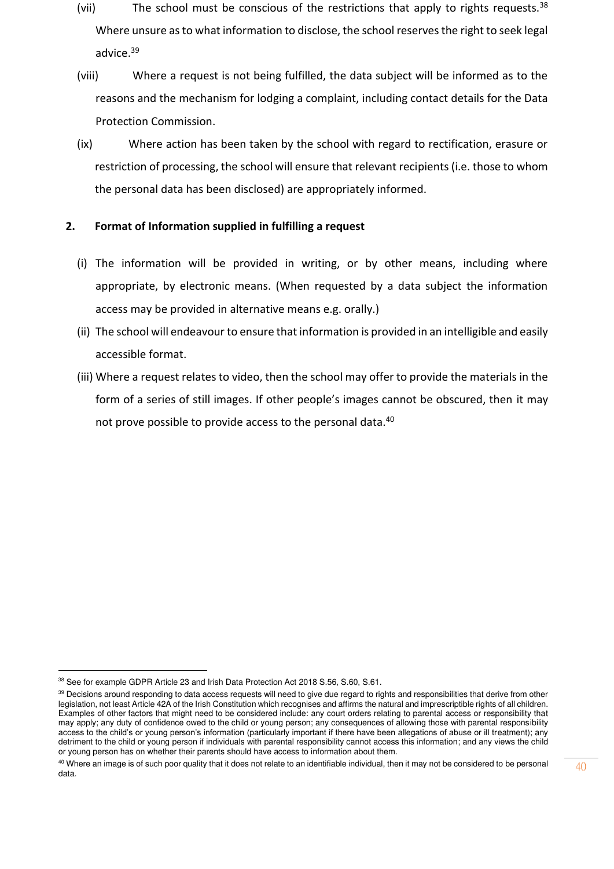- (vii) The school must be conscious of the restrictions that apply to rights requests. $38$ Where unsure as to what information to disclose, the school reserves the right to seek legal advice.<sup>39</sup>
- (viii) Where a request is not being fulfilled, the data subject will be informed as to the reasons and the mechanism for lodging a complaint, including contact details for the Data Protection Commission.
- (ix) Where action has been taken by the school with regard to rectification, erasure or restriction of processing, the school will ensure that relevant recipients (i.e. those to whom the personal data has been disclosed) are appropriately informed.

### **2. Format of Information supplied in fulfilling a request**

- (i) The information will be provided in writing, or by other means, including where appropriate, by electronic means. (When requested by a data subject the information access may be provided in alternative means e.g. orally.)
- (ii) The school will endeavour to ensure that information is provided in an intelligible and easily accessible format.
- (iii) Where a request relates to video, then the school may offer to provide the materials in the form of a series of still images. If other people's images cannot be obscured, then it may not prove possible to provide access to the personal data.<sup>40</sup>

<sup>38</sup> See for example GDPR Article 23 and Irish Data Protection Act 2018 S.56, S.60, S.61.

<sup>39</sup> Decisions around responding to data access requests will need to give due regard to rights and responsibilities that derive from other legislation, not least Article 42A of the Irish Constitution which recognises and affirms the natural and imprescriptible rights of all children. Examples of other factors that might need to be considered include: any court orders relating to parental access or responsibility that may apply; any duty of confidence owed to the child or young person; any consequences of allowing those with parental responsibility access to the child's or young person's information (particularly important if there have been allegations of abuse or ill treatment); any detriment to the child or young person if individuals with parental responsibility cannot access this information; and any views the child or young person has on whether their parents should have access to information about them.

<sup>&</sup>lt;sup>40</sup> Where an image is of such poor quality that it does not relate to an identifiable individual, then it may not be considered to be personal data.